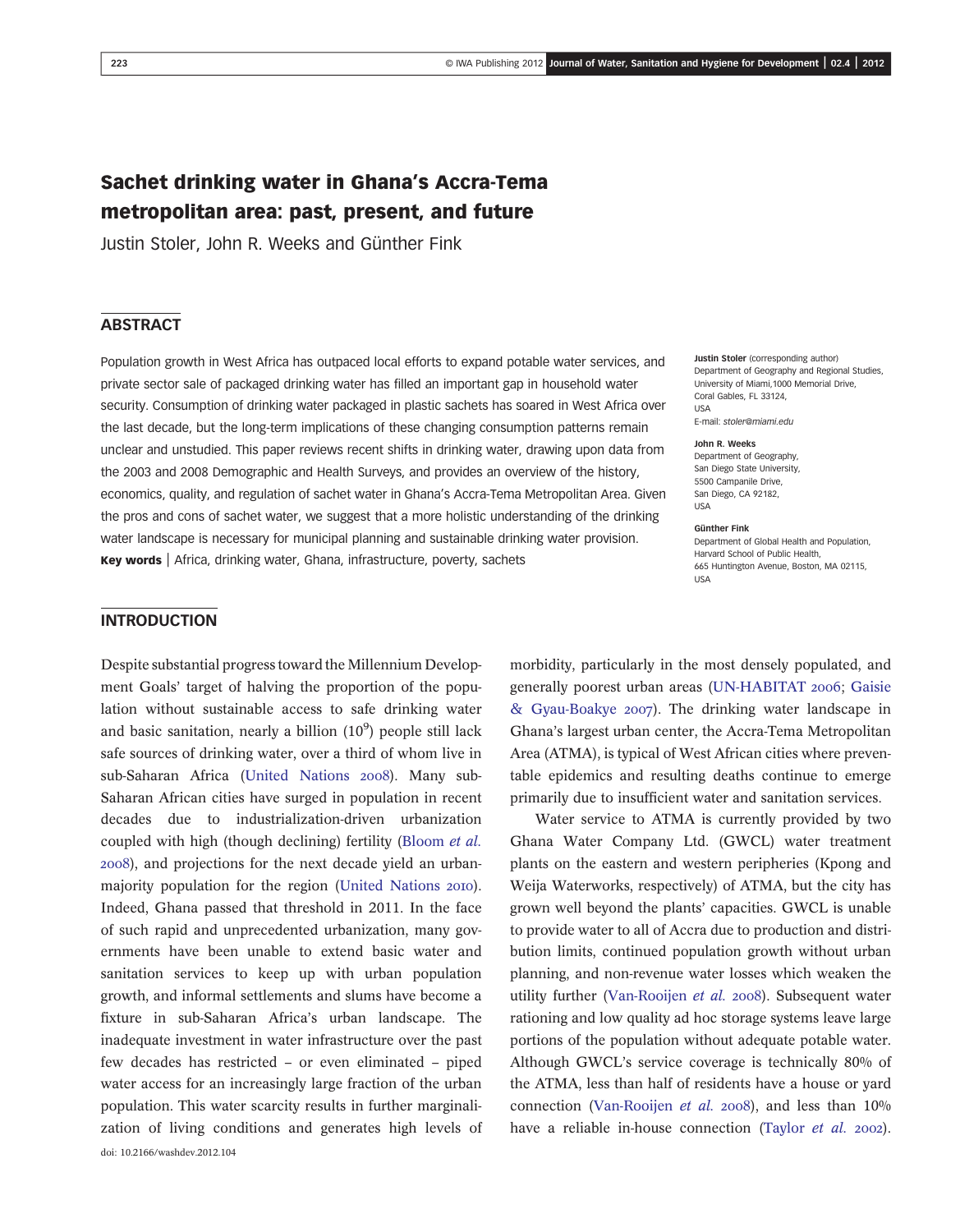# Sachet drinking water in Ghana's Accra-Tema metropolitan area: past, present, and future

Justin Stoler, John R. Weeks and Günther Fink

## **ABSTRACT**

Population growth in West Africa has outpaced local efforts to expand potable water services, and private sector sale of packaged drinking water has filled an important gap in household water security. Consumption of drinking water packaged in plastic sachets has soared in West Africa over the last decade, but the long-term implications of these changing consumption patterns remain unclear and unstudied. This paper reviews recent shifts in drinking water, drawing upon data from the 2003 and 2008 Demographic and Health Surveys, and provides an overview of the history, economics, quality, and regulation of sachet water in Ghana's Accra-Tema Metropolitan Area. Given the pros and cons of sachet water, we suggest that a more holistic understanding of the drinking water landscape is necessary for municipal planning and sustainable drinking water provision. Key words | Africa, drinking water, Ghana, infrastructure, poverty, sachets

#### Justin Stoler (corresponding author) Department of Geography and Regional Studies, University of Miami,1000 Memorial Drive, Coral Gables, FL 33124,  $IISA$ E-mail: [stoler@miami.edu](mailto:stoler@miami.edu)

#### John R. Weeks

Department of Geography, San Diego State University, 5500 Campanile Drive, San Diego, CA 92182, USA

#### Günther Fink

Department of Global Health and Population, Harvard School of Public Health, 665 Huntington Avenue, Boston, MA 02115, USA

#### INTRODUCTION

Despite substantial progress toward the Millennium Development Goals' target of halving the proportion of the population without sustainable access to safe drinking water and basic sanitation, nearly a billion  $(10^9)$  people still lack safe sources of drinking water, over a third of whom live in sub-Saharan Africa (United Nations 2008). Many sub-Saharan African cities have surged in population in recent decades due to industrialization-driven urbanization coupled with high (though declining) fertility (Bloom et al. ), and projections for the next decade yield an urbanmajority population for the region (United Nations 2010). Indeed, Ghana passed that threshold in 2011. In the face of such rapid and unprecedented urbanization, many governments have been unable to extend basic water and sanitation services to keep up with urban population growth, and informal settlements and slums have become a fixture in sub-Saharan Africa's urban landscape. The inadequate investment in water infrastructure over the past few decades has restricted – or even eliminated – piped water access for an increasingly large fraction of the urban population. This water scarcity results in further marginalization of living conditions and generates high levels of morbidity, particularly in the most densely populated, and generally poorest urban areas (UN-HABITAT 2006; Gaisie  $&$  Gyau-Boakye 2007). The drinking water landscape in Ghana's largest urban center, the Accra-Tema Metropolitan Area (ATMA), is typical of West African cities where preventable epidemics and resulting deaths continue to emerge primarily due to insufficient water and sanitation services.

Water service to ATMA is currently provided by two Ghana Water Company Ltd. (GWCL) water treatment plants on the eastern and western peripheries (Kpong and Weija Waterworks, respectively) of ATMA, but the city has grown well beyond the plants' capacities. GWCL is unable to provide water to all of Accra due to production and distribution limits, continued population growth without urban planning, and non-revenue water losses which weaken the utility further (Van-Rooijen  $et$   $al.$  2008). Subsequent water rationing and low quality ad hoc storage systems leave large portions of the population without adequate potable water. Although GWCL's service coverage is technically 80% of the ATMA, less than half of residents have a house or yard connection (Van-Rooijen et al. 2008), and less than  $10\%$ have a reliable in-house connection (Taylor et al. 2002).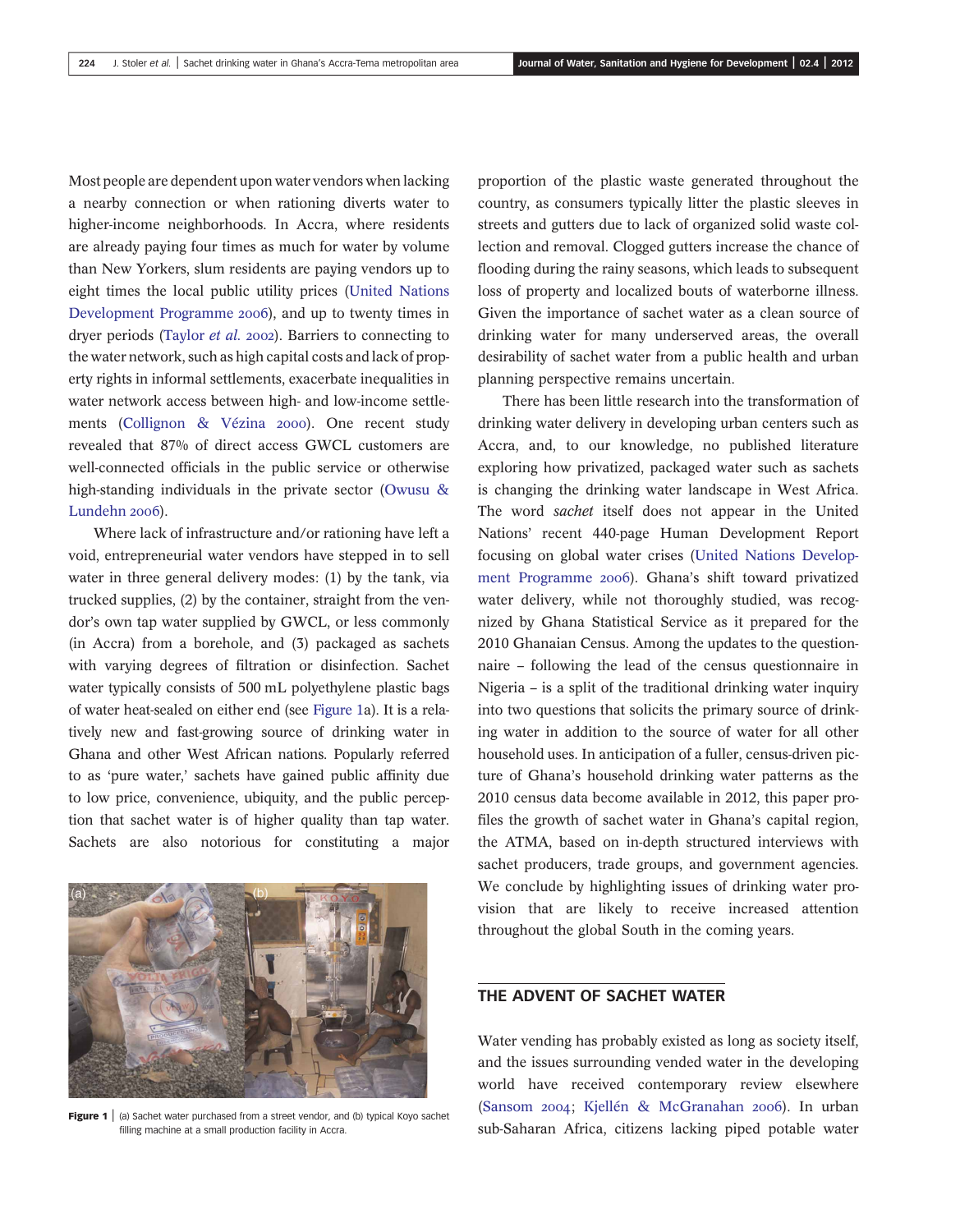Most people are dependent upon water vendors when lacking a nearby connection or when rationing diverts water to higher-income neighborhoods. In Accra, where residents are already paying four times as much for water by volume than New Yorkers, slum residents are paying vendors up to eight times the local public utility prices (United Nations Development Programme 2006), and up to twenty times in dryer periods (Taylor et al. 2002). Barriers to connecting to the water network, such as high capital costs and lack of property rights in informal settlements, exacerbate inequalities in water network access between high- and low-income settlements (Collignon & Vézina 2000). One recent study revealed that 87% of direct access GWCL customers are well-connected officials in the public service or otherwise high-standing individuals in the private sector (Owusu & Lundehn 2006).

Where lack of infrastructure and/or rationing have left a void, entrepreneurial water vendors have stepped in to sell water in three general delivery modes: (1) by the tank, via trucked supplies, (2) by the container, straight from the vendor's own tap water supplied by GWCL, or less commonly (in Accra) from a borehole, and (3) packaged as sachets with varying degrees of filtration or disinfection. Sachet water typically consists of 500 mL polyethylene plastic bags of water heat-sealed on either end (see Figure 1a). It is a relatively new and fast-growing source of drinking water in Ghana and other West African nations. Popularly referred to as 'pure water,' sachets have gained public affinity due to low price, convenience, ubiquity, and the public perception that sachet water is of higher quality than tap water. Sachets are also notorious for constituting a major



**Figure 1** (a) Sachet water purchased from a street vendor, and (b) typical Koyo sachet filling machine at a small production facility in Accra.

proportion of the plastic waste generated throughout the country, as consumers typically litter the plastic sleeves in streets and gutters due to lack of organized solid waste collection and removal. Clogged gutters increase the chance of flooding during the rainy seasons, which leads to subsequent loss of property and localized bouts of waterborne illness. Given the importance of sachet water as a clean source of drinking water for many underserved areas, the overall desirability of sachet water from a public health and urban planning perspective remains uncertain.

There has been little research into the transformation of drinking water delivery in developing urban centers such as Accra, and, to our knowledge, no published literature exploring how privatized, packaged water such as sachets is changing the drinking water landscape in West Africa. The word sachet itself does not appear in the United Nations' recent 440-page Human Development Report focusing on global water crises (United Nations Development Programme 2006). Ghana's shift toward privatized water delivery, while not thoroughly studied, was recognized by Ghana Statistical Service as it prepared for the 2010 Ghanaian Census. Among the updates to the questionnaire – following the lead of the census questionnaire in Nigeria – is a split of the traditional drinking water inquiry into two questions that solicits the primary source of drinking water in addition to the source of water for all other household uses. In anticipation of a fuller, census-driven picture of Ghana's household drinking water patterns as the 2010 census data become available in 2012, this paper profiles the growth of sachet water in Ghana's capital region, the ATMA, based on in-depth structured interviews with sachet producers, trade groups, and government agencies. We conclude by highlighting issues of drinking water provision that are likely to receive increased attention throughout the global South in the coming years.

## THE ADVENT OF SACHET WATER

Water vending has probably existed as long as society itself, and the issues surrounding vended water in the developing world have received contemporary review elsewhere (Sansom 2004; Kjellén & McGranahan 2006). In urban sub-Saharan Africa, citizens lacking piped potable water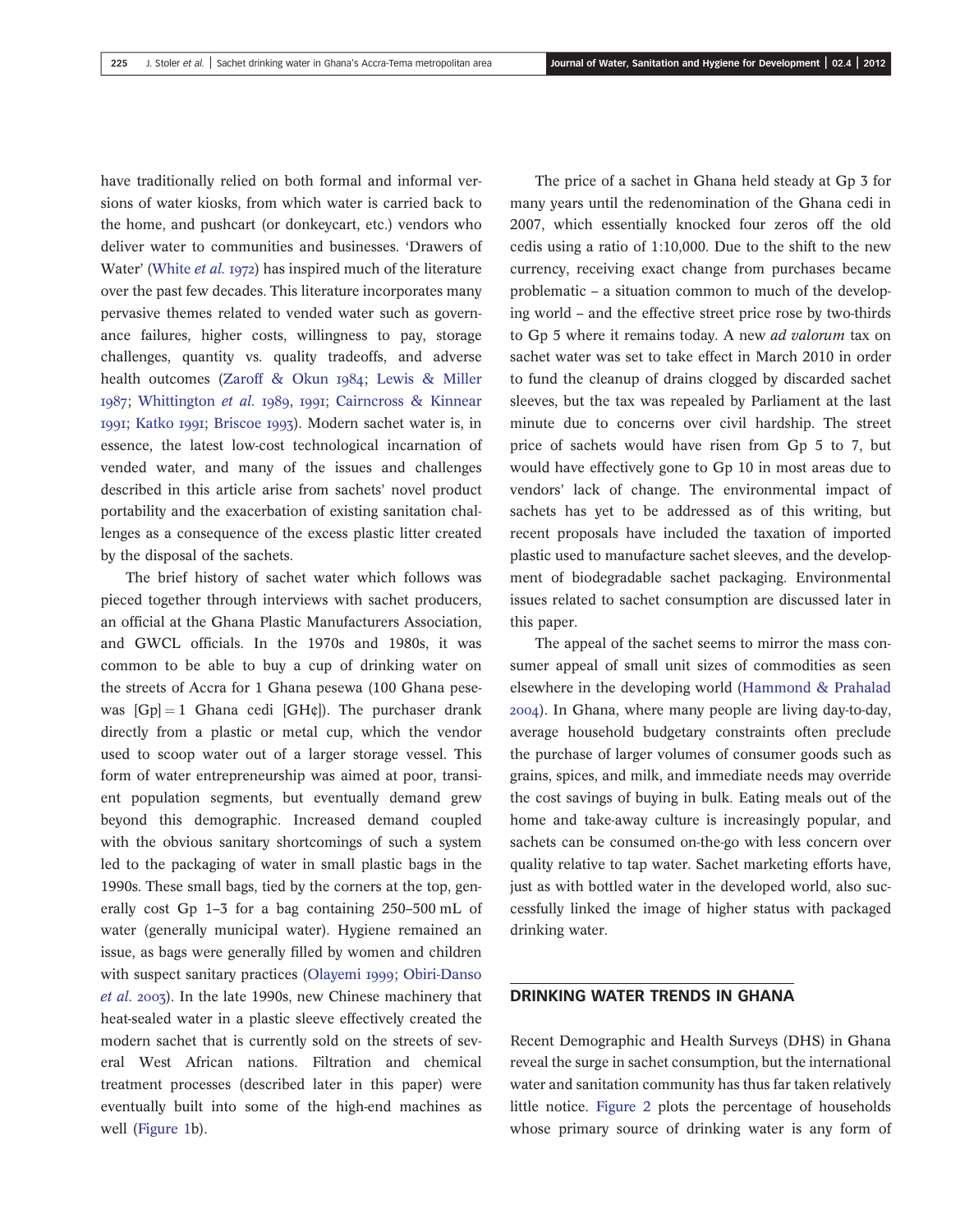have traditionally relied on both formal and informal versions of water kiosks, from which water is carried back to the home, and pushcart (or donkeycart, etc.) vendors who deliver water to communities and businesses. 'Drawers of Water' (White et al. 1972) has inspired much of the literature over the past few decades. This literature incorporates many pervasive themes related to vended water such as governance failures, higher costs, willingness to pay, storage challenges, quantity vs. quality tradeoffs, and adverse health outcomes (Zaroff & Okun 1984; Lewis & Miller 1987; Whittington et al. 1989, 1991; Cairncross & Kinnear 1991; Katko 1991; Briscoe 1993). Modern sachet water is, in essence, the latest low-cost technological incarnation of vended water, and many of the issues and challenges described in this article arise from sachets' novel product portability and the exacerbation of existing sanitation challenges as a consequence of the excess plastic litter created by the disposal of the sachets.

The brief history of sachet water which follows was pieced together through interviews with sachet producers, an official at the Ghana Plastic Manufacturers Association, and GWCL officials. In the 1970s and 1980s, it was common to be able to buy a cup of drinking water on the streets of Accra for 1 Ghana pesewa (100 Ghana pesewas  $[Gp] = 1$  Ghana cedi  $[GH\mathfrak{e}]$ ). The purchaser drank directly from a plastic or metal cup, which the vendor used to scoop water out of a larger storage vessel. This form of water entrepreneurship was aimed at poor, transient population segments, but eventually demand grew beyond this demographic. Increased demand coupled with the obvious sanitary shortcomings of such a system led to the packaging of water in small plastic bags in the 1990s. These small bags, tied by the corners at the top, generally cost Gp 1–3 for a bag containing 250–500 mL of water (generally municipal water). Hygiene remained an issue, as bags were generally filled by women and children with suspect sanitary practices (Olayemi 1999; Obiri-Danso et al. 2003). In the late 1990s, new Chinese machinery that heat-sealed water in a plastic sleeve effectively created the modern sachet that is currently sold on the streets of several West African nations. Filtration and chemical treatment processes (described later in this paper) were eventually built into some of the high-end machines as well (Figure 1b).

The price of a sachet in Ghana held steady at Gp 3 for many years until the redenomination of the Ghana cedi in 2007, which essentially knocked four zeros off the old cedis using a ratio of 1:10,000. Due to the shift to the new currency, receiving exact change from purchases became problematic – a situation common to much of the developing world – and the effective street price rose by two-thirds to Gp 5 where it remains today. A new ad valorum tax on sachet water was set to take effect in March 2010 in order to fund the cleanup of drains clogged by discarded sachet sleeves, but the tax was repealed by Parliament at the last minute due to concerns over civil hardship. The street price of sachets would have risen from Gp 5 to 7, but would have effectively gone to Gp 10 in most areas due to vendors' lack of change. The environmental impact of sachets has yet to be addressed as of this writing, but recent proposals have included the taxation of imported plastic used to manufacture sachet sleeves, and the development of biodegradable sachet packaging. Environmental issues related to sachet consumption are discussed later in this paper.

The appeal of the sachet seems to mirror the mass consumer appeal of small unit sizes of commodities as seen elsewhere in the developing world (Hammond & Prahalad ). In Ghana, where many people are living day-to-day, average household budgetary constraints often preclude the purchase of larger volumes of consumer goods such as grains, spices, and milk, and immediate needs may override the cost savings of buying in bulk. Eating meals out of the home and take-away culture is increasingly popular, and sachets can be consumed on-the-go with less concern over quality relative to tap water. Sachet marketing efforts have, just as with bottled water in the developed world, also successfully linked the image of higher status with packaged drinking water.

## DRINKING WATER TRENDS IN GHANA

Recent Demographic and Health Surveys (DHS) in Ghana reveal the surge in sachet consumption, but the international water and sanitation community has thus far taken relatively little notice. Figure 2 plots the percentage of households whose primary source of drinking water is any form of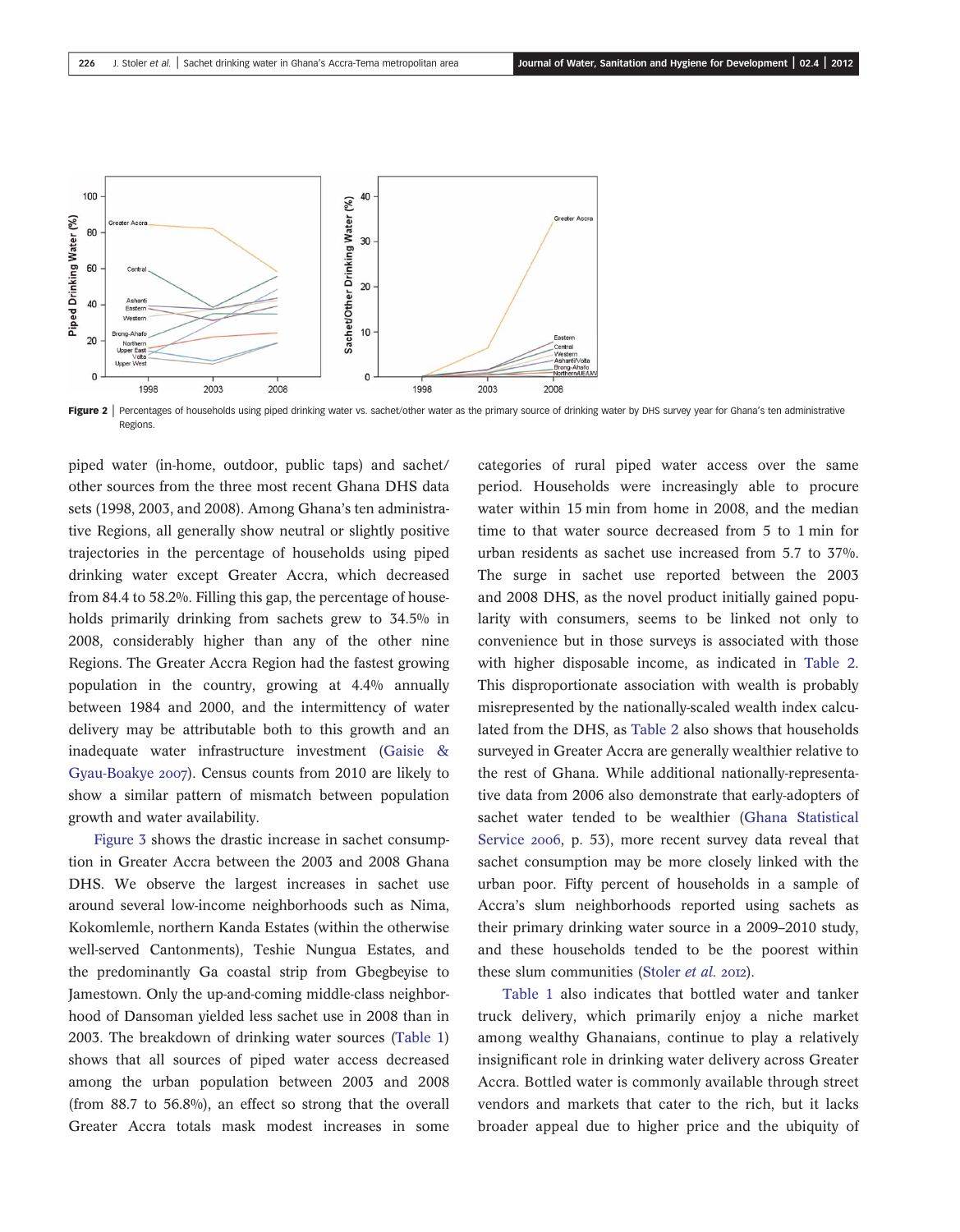

Figure 2 | Percentages of households using piped drinking water vs. sachet/other water as the primary source of drinking water by DHS survey year for Ghana's ten administrative Regions.

piped water (in-home, outdoor, public taps) and sachet/ other sources from the three most recent Ghana DHS data sets (1998, 2003, and 2008). Among Ghana's ten administrative Regions, all generally show neutral or slightly positive trajectories in the percentage of households using piped drinking water except Greater Accra, which decreased from 84.4 to 58.2%. Filling this gap, the percentage of households primarily drinking from sachets grew to 34.5% in 2008, considerably higher than any of the other nine Regions. The Greater Accra Region had the fastest growing population in the country, growing at 4.4% annually between 1984 and 2000, and the intermittency of water delivery may be attributable both to this growth and an inadequate water infrastructure investment (Gaisie & Gyau-Boakye 2007). Census counts from 2010 are likely to show a similar pattern of mismatch between population growth and water availability.

Figure 3 shows the drastic increase in sachet consumption in Greater Accra between the 2003 and 2008 Ghana DHS. We observe the largest increases in sachet use around several low-income neighborhoods such as Nima, Kokomlemle, northern Kanda Estates (within the otherwise well-served Cantonments), Teshie Nungua Estates, and the predominantly Ga coastal strip from Gbegbeyise to Jamestown. Only the up-and-coming middle-class neighborhood of Dansoman yielded less sachet use in 2008 than in 2003. The breakdown of drinking water sources (Table 1) shows that all sources of piped water access decreased among the urban population between 2003 and 2008 (from 88.7 to 56.8%), an effect so strong that the overall Greater Accra totals mask modest increases in some categories of rural piped water access over the same period. Households were increasingly able to procure water within 15 min from home in 2008, and the median time to that water source decreased from 5 to 1 min for urban residents as sachet use increased from 5.7 to 37%. The surge in sachet use reported between the 2003 and 2008 DHS, as the novel product initially gained popularity with consumers, seems to be linked not only to convenience but in those surveys is associated with those with higher disposable income, as indicated in Table 2. This disproportionate association with wealth is probably misrepresented by the nationally-scaled wealth index calculated from the DHS, as Table 2 also shows that households surveyed in Greater Accra are generally wealthier relative to the rest of Ghana. While additional nationally-representative data from 2006 also demonstrate that early-adopters of sachet water tended to be wealthier (Ghana Statistical Service 2006, p. 53), more recent survey data reveal that sachet consumption may be more closely linked with the urban poor. Fifty percent of households in a sample of Accra's slum neighborhoods reported using sachets as their primary drinking water source in a 2009–2010 study, and these households tended to be the poorest within these slum communities (Stoler et al. 2012).

Table 1 also indicates that bottled water and tanker truck delivery, which primarily enjoy a niche market among wealthy Ghanaians, continue to play a relatively insignificant role in drinking water delivery across Greater Accra. Bottled water is commonly available through street vendors and markets that cater to the rich, but it lacks broader appeal due to higher price and the ubiquity of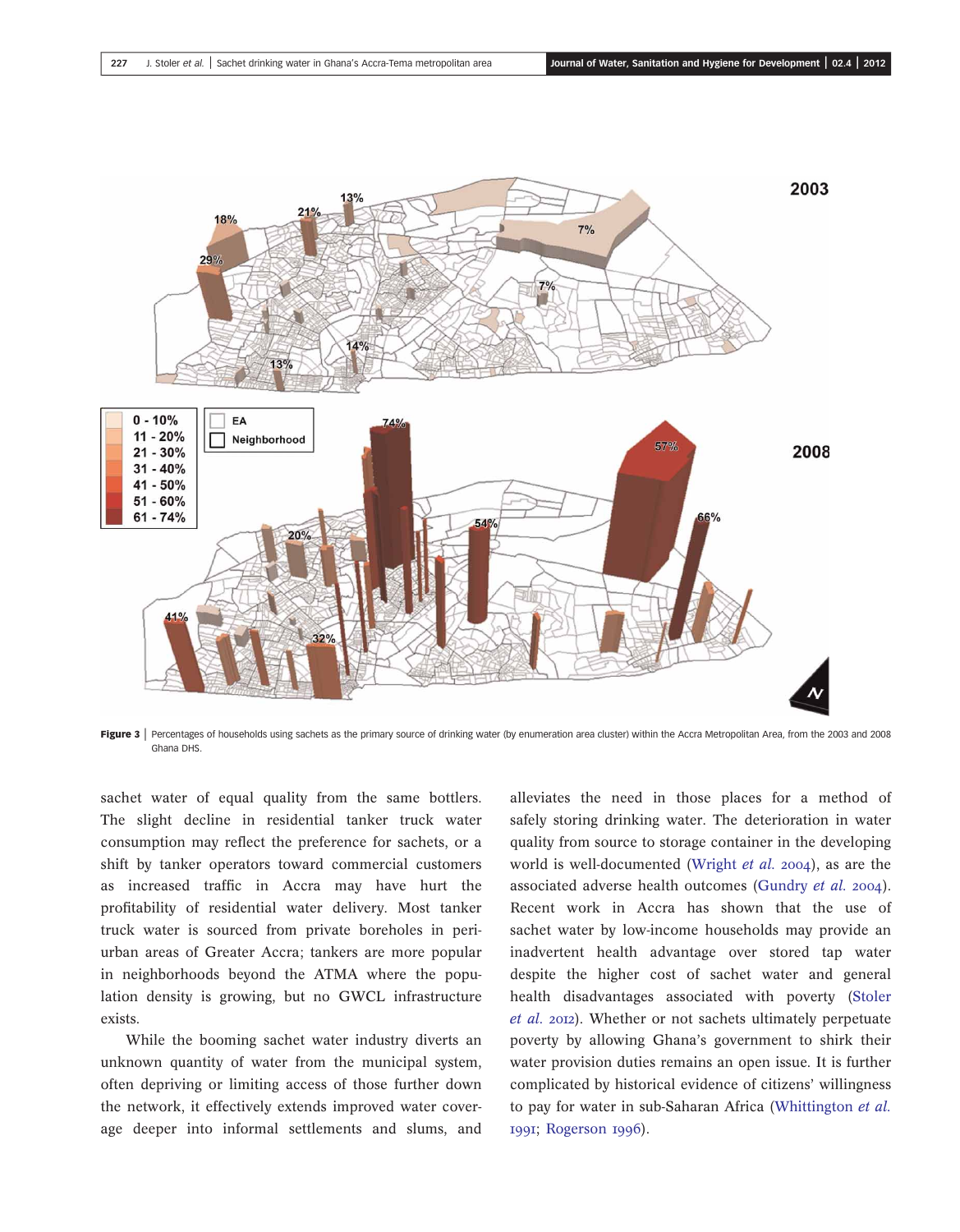

Figure 3 | Percentages of households using sachets as the primary source of drinking water (by enumeration area cluster) within the Accra Metropolitan Area, from the 2003 and 2008 Ghana DHS.

sachet water of equal quality from the same bottlers. The slight decline in residential tanker truck water consumption may reflect the preference for sachets, or a shift by tanker operators toward commercial customers as increased traffic in Accra may have hurt the profitability of residential water delivery. Most tanker truck water is sourced from private boreholes in periurban areas of Greater Accra; tankers are more popular in neighborhoods beyond the ATMA where the population density is growing, but no GWCL infrastructure exists.

While the booming sachet water industry diverts an unknown quantity of water from the municipal system, often depriving or limiting access of those further down the network, it effectively extends improved water coverage deeper into informal settlements and slums, and

alleviates the need in those places for a method of safely storing drinking water. The deterioration in water quality from source to storage container in the developing world is well-documented (Wright  $et$  al. 2004), as are the associated adverse health outcomes (Gundry et al. 2004). Recent work in Accra has shown that the use of sachet water by low-income households may provide an inadvertent health advantage over stored tap water despite the higher cost of sachet water and general health disadvantages associated with poverty (Stoler et al. 2012). Whether or not sachets ultimately perpetuate poverty by allowing Ghana's government to shirk their water provision duties remains an open issue. It is further complicated by historical evidence of citizens' willingness to pay for water in sub-Saharan Africa (Whittington et al. 1991; Rogerson 1996).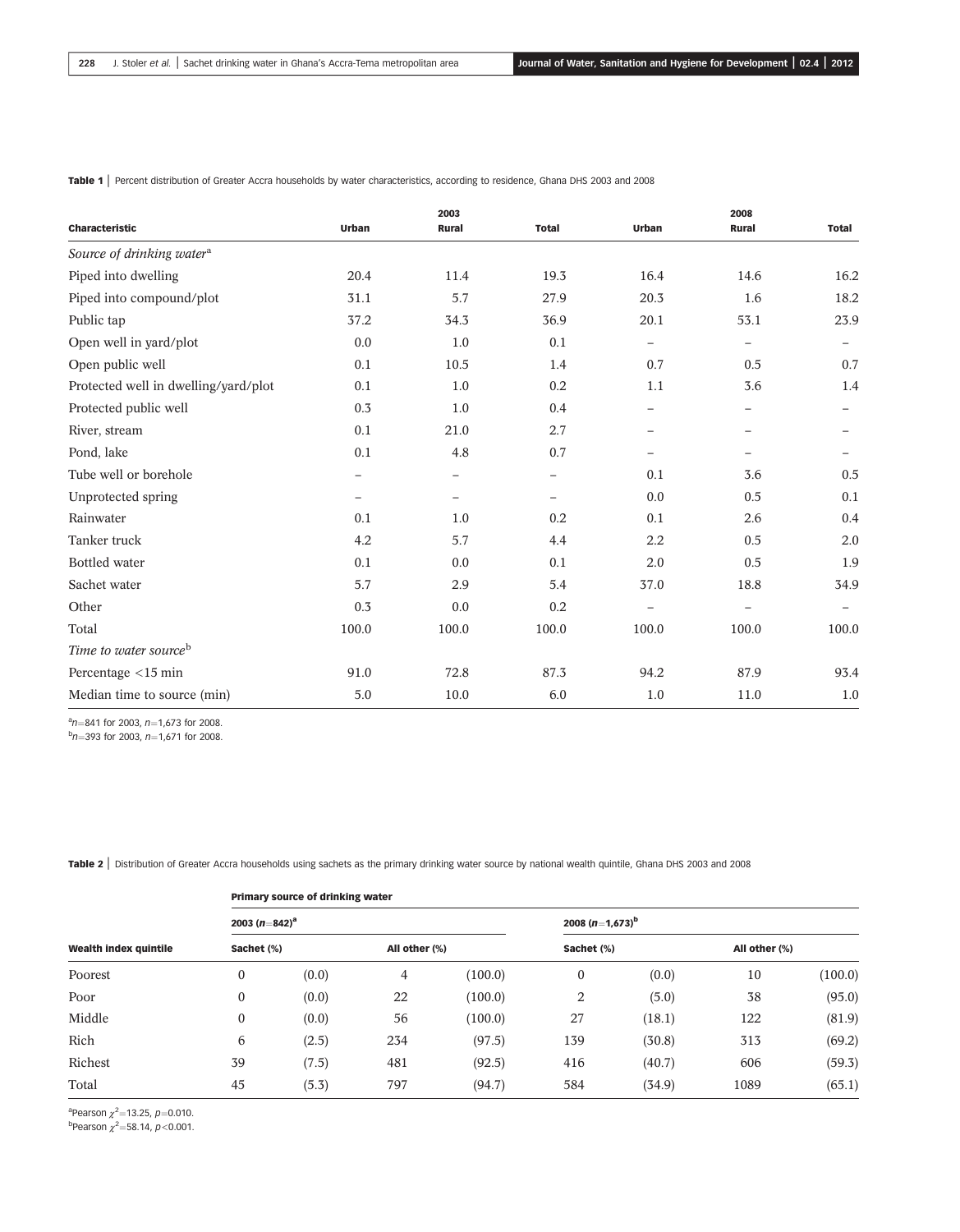|                                       |                          | 2003                     |                          |                          | 2008                     |                          |
|---------------------------------------|--------------------------|--------------------------|--------------------------|--------------------------|--------------------------|--------------------------|
| <b>Characteristic</b>                 | <b>Urban</b>             | <b>Rural</b>             | <b>Total</b>             | Urban                    | <b>Rural</b>             | <b>Total</b>             |
| Source of drinking water <sup>a</sup> |                          |                          |                          |                          |                          |                          |
| Piped into dwelling                   | 20.4                     | 11.4                     | 19.3                     | 16.4                     | 14.6                     | 16.2                     |
| Piped into compound/plot              | 31.1                     | 5.7                      | 27.9                     | 20.3                     | 1.6                      | 18.2                     |
| Public tap                            | 37.2                     | 34.3                     | 36.9                     | 20.1                     | 53.1                     | 23.9                     |
| Open well in yard/plot                | 0.0                      | 1.0                      | 0.1                      | $\qquad \qquad -$        | $\overline{\phantom{0}}$ | -                        |
| Open public well                      | 0.1                      | 10.5                     | 1.4                      | 0.7                      | 0.5                      | 0.7                      |
| Protected well in dwelling/yard/plot  | 0.1                      | 1.0                      | 0.2                      | 1.1                      | 3.6                      | 1.4                      |
| Protected public well                 | 0.3                      | 1.0                      | 0.4                      | $\overline{\phantom{0}}$ | $\overline{\phantom{0}}$ |                          |
| River, stream                         | 0.1                      | 21.0                     | 2.7                      | $\overline{\phantom{0}}$ | $\overline{\phantom{m}}$ |                          |
| Pond, lake                            | 0.1                      | 4.8                      | 0.7                      | $\overline{\phantom{0}}$ |                          |                          |
| Tube well or borehole                 | $\overline{\phantom{m}}$ | $\overline{\phantom{m}}$ | $\overline{\phantom{0}}$ | 0.1                      | 3.6                      | 0.5                      |
| Unprotected spring                    | $\qquad \qquad -$        | $\qquad \qquad -$        |                          | 0.0                      | 0.5                      | 0.1                      |
| Rainwater                             | 0.1                      | 1.0                      | 0.2                      | 0.1                      | 2.6                      | 0.4                      |
| Tanker truck                          | 4.2                      | 5.7                      | 4.4                      | 2.2                      | 0.5                      | 2.0                      |
| <b>Bottled</b> water                  | 0.1                      | 0.0                      | 0.1                      | 2.0                      | 0.5                      | 1.9                      |
| Sachet water                          | 5.7                      | 2.9                      | 5.4                      | 37.0                     | 18.8                     | 34.9                     |
| Other                                 | 0.3                      | 0.0                      | 0.2                      | $\overline{\phantom{0}}$ | $\overline{\phantom{0}}$ | $\overline{\phantom{0}}$ |
| Total                                 | 100.0                    | 100.0                    | 100.0                    | 100.0                    | 100.0                    | 100.0                    |
| Time to water source <sup>b</sup>     |                          |                          |                          |                          |                          |                          |
| Percentage <15 min                    | 91.0                     | 72.8                     | 87.3                     | 94.2                     | 87.9                     | 93.4                     |
| Median time to source (min)           | 5.0                      | 10.0                     | 6.0                      | 1.0                      | 11.0                     | 1.0                      |

Table 1 | Percent distribution of Greater Accra households by water characteristics, according to residence, Ghana DHS 2003 and 2008

 $\alpha_{n=841}^{\text{a}}$  for 2003, n=1,673 for 2008.

 $b$ n=393 for 2003, n=1,671 for 2008.

Table 2 | Distribution of Greater Accra households using sachets as the primary drinking water source by national wealth quintile, Ghana DHS 2003 and 2008

| Wealth index quintile<br>Poorest | Primary source of drinking water |       |                |         |                             |        |               |         |  |
|----------------------------------|----------------------------------|-------|----------------|---------|-----------------------------|--------|---------------|---------|--|
|                                  | 2003 (n=842) <sup>a</sup>        |       |                |         | 2008 (n=1,673) <sup>b</sup> |        |               |         |  |
|                                  | Sachet (%)                       |       | All other (%)  |         | Sachet (%)                  |        | All other (%) |         |  |
|                                  | $\boldsymbol{0}$                 | (0.0) | $\overline{4}$ | (100.0) | $\boldsymbol{0}$            | (0.0)  | 10            | (100.0) |  |
| Poor                             | $\boldsymbol{0}$                 | (0.0) | 22             | (100.0) | 2                           | (5.0)  | 38            | (95.0)  |  |
| Middle                           | $\boldsymbol{0}$                 | (0.0) | 56             | (100.0) | 27                          | (18.1) | 122           | (81.9)  |  |
| Rich                             | 6                                | (2.5) | 234            | (97.5)  | 139                         | (30.8) | 313           | (69.2)  |  |
| Richest                          | 39                               | (7.5) | 481            | (92.5)  | 416                         | (40.7) | 606           | (59.3)  |  |
| Total                            | 45                               | (5.3) | 797            | (94.7)  | 584                         | (34.9) | 1089          | (65.1)  |  |

<sup>a</sup>Pearson  $\chi^2$ =13.25, p=0.010.

 $<sup>b</sup>$ Pearson  $\chi^2$ =58.14, p<0.001.</sup>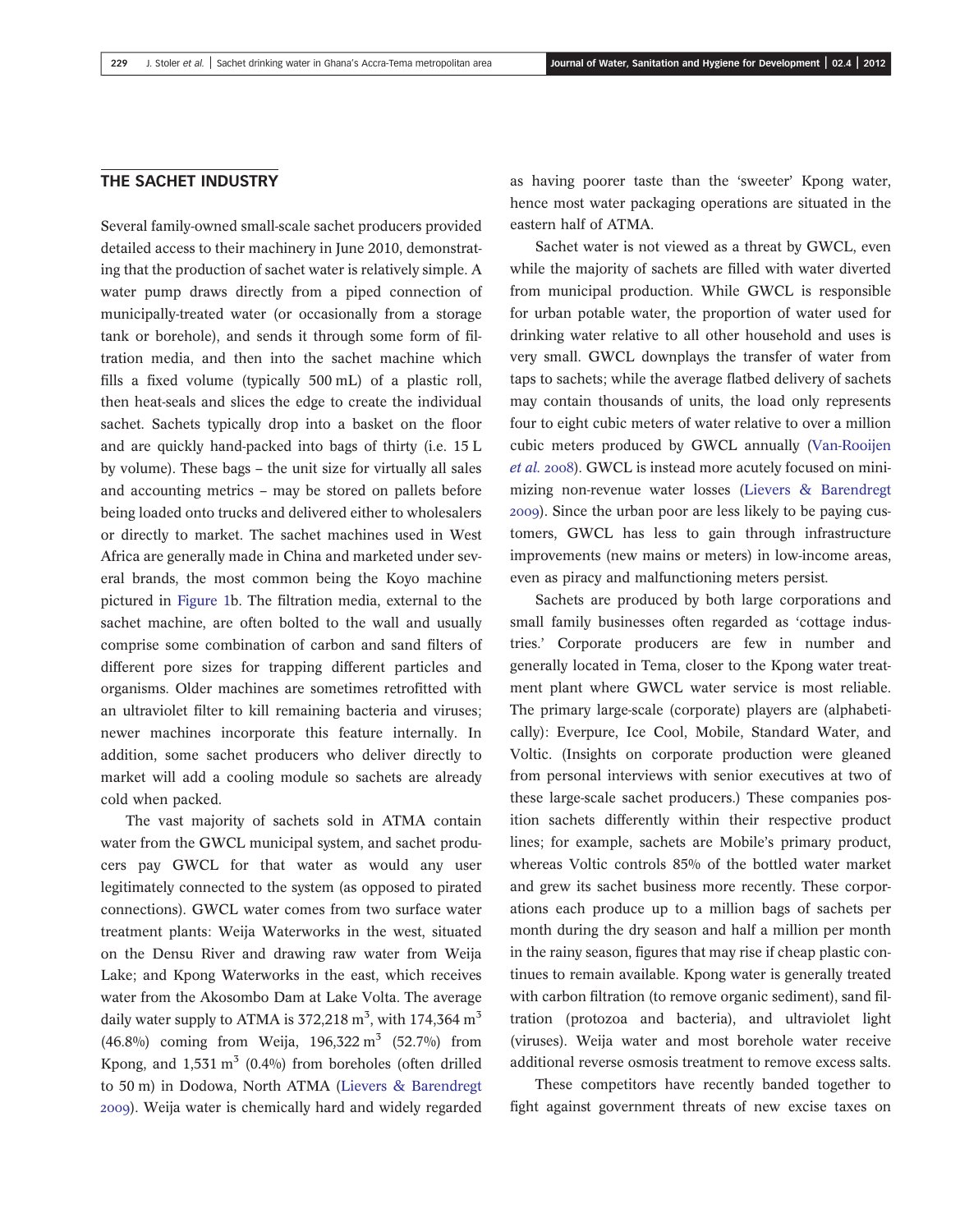#### THE SACHET INDUSTRY

Several family-owned small-scale sachet producers provided detailed access to their machinery in June 2010, demonstrating that the production of sachet water is relatively simple. A water pump draws directly from a piped connection of municipally-treated water (or occasionally from a storage tank or borehole), and sends it through some form of filtration media, and then into the sachet machine which fills a fixed volume (typically 500 mL) of a plastic roll, then heat-seals and slices the edge to create the individual sachet. Sachets typically drop into a basket on the floor and are quickly hand-packed into bags of thirty (i.e. 15 L by volume). These bags – the unit size for virtually all sales and accounting metrics – may be stored on pallets before being loaded onto trucks and delivered either to wholesalers or directly to market. The sachet machines used in West Africa are generally made in China and marketed under several brands, the most common being the Koyo machine pictured in Figure 1b. The filtration media, external to the sachet machine, are often bolted to the wall and usually comprise some combination of carbon and sand filters of different pore sizes for trapping different particles and organisms. Older machines are sometimes retrofitted with an ultraviolet filter to kill remaining bacteria and viruses; newer machines incorporate this feature internally. In addition, some sachet producers who deliver directly to market will add a cooling module so sachets are already cold when packed.

The vast majority of sachets sold in ATMA contain water from the GWCL municipal system, and sachet producers pay GWCL for that water as would any user legitimately connected to the system (as opposed to pirated connections). GWCL water comes from two surface water treatment plants: Weija Waterworks in the west, situated on the Densu River and drawing raw water from Weija Lake; and Kpong Waterworks in the east, which receives water from the Akosombo Dam at Lake Volta. The average daily water supply to ATMA is  $372{,}218 \text{ m}^3$ , with  $174{,}364 \text{ m}^3$ (46.8%) coming from Weija,  $196,322 \text{ m}^3$  (52.7%) from Kpong, and  $1,531 \text{ m}^3$  (0.4%) from boreholes (often drilled to 50 m) in Dodowa, North ATMA (Lievers & Barendregt ). Weija water is chemically hard and widely regarded as having poorer taste than the 'sweeter' Kpong water, hence most water packaging operations are situated in the eastern half of ATMA.

Sachet water is not viewed as a threat by GWCL, even while the majority of sachets are filled with water diverted from municipal production. While GWCL is responsible for urban potable water, the proportion of water used for drinking water relative to all other household and uses is very small. GWCL downplays the transfer of water from taps to sachets; while the average flatbed delivery of sachets may contain thousands of units, the load only represents four to eight cubic meters of water relative to over a million cubic meters produced by GWCL annually (Van-Rooijen et al. 2008). GWCL is instead more acutely focused on minimizing non-revenue water losses (Lievers & Barendregt ). Since the urban poor are less likely to be paying customers, GWCL has less to gain through infrastructure improvements (new mains or meters) in low-income areas, even as piracy and malfunctioning meters persist.

Sachets are produced by both large corporations and small family businesses often regarded as 'cottage industries.' Corporate producers are few in number and generally located in Tema, closer to the Kpong water treatment plant where GWCL water service is most reliable. The primary large-scale (corporate) players are (alphabetically): Everpure, Ice Cool, Mobile, Standard Water, and Voltic. (Insights on corporate production were gleaned from personal interviews with senior executives at two of these large-scale sachet producers.) These companies position sachets differently within their respective product lines; for example, sachets are Mobile's primary product, whereas Voltic controls 85% of the bottled water market and grew its sachet business more recently. These corporations each produce up to a million bags of sachets per month during the dry season and half a million per month in the rainy season, figures that may rise if cheap plastic continues to remain available. Kpong water is generally treated with carbon filtration (to remove organic sediment), sand filtration (protozoa and bacteria), and ultraviolet light (viruses). Weija water and most borehole water receive additional reverse osmosis treatment to remove excess salts.

These competitors have recently banded together to fight against government threats of new excise taxes on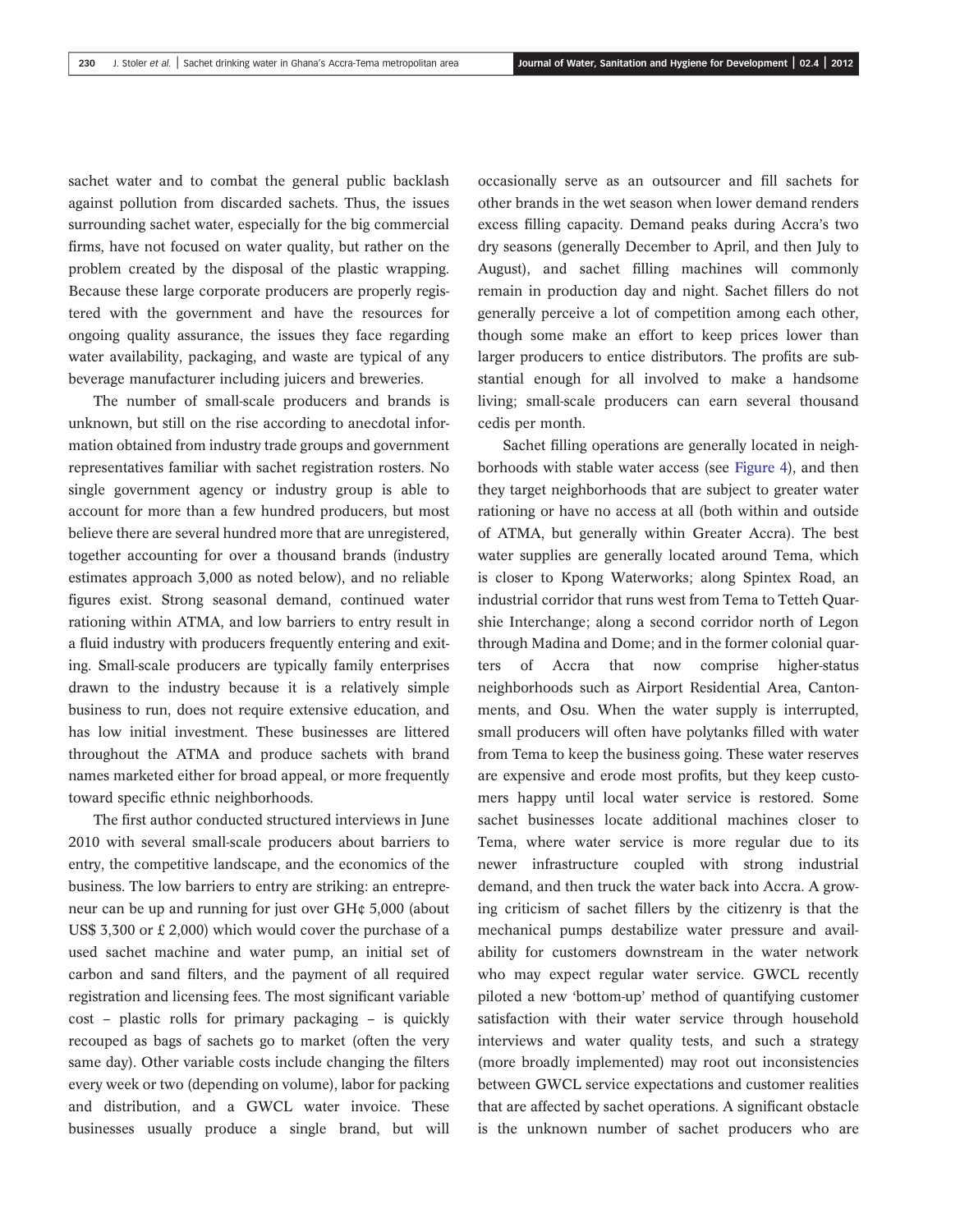sachet water and to combat the general public backlash against pollution from discarded sachets. Thus, the issues surrounding sachet water, especially for the big commercial firms, have not focused on water quality, but rather on the problem created by the disposal of the plastic wrapping. Because these large corporate producers are properly registered with the government and have the resources for ongoing quality assurance, the issues they face regarding water availability, packaging, and waste are typical of any beverage manufacturer including juicers and breweries.

The number of small-scale producers and brands is unknown, but still on the rise according to anecdotal information obtained from industry trade groups and government representatives familiar with sachet registration rosters. No single government agency or industry group is able to account for more than a few hundred producers, but most believe there are several hundred more that are unregistered, together accounting for over a thousand brands (industry estimates approach 3,000 as noted below), and no reliable figures exist. Strong seasonal demand, continued water rationing within ATMA, and low barriers to entry result in a fluid industry with producers frequently entering and exiting. Small-scale producers are typically family enterprises drawn to the industry because it is a relatively simple business to run, does not require extensive education, and has low initial investment. These businesses are littered throughout the ATMA and produce sachets with brand names marketed either for broad appeal, or more frequently toward specific ethnic neighborhoods.

The first author conducted structured interviews in June 2010 with several small-scale producers about barriers to entry, the competitive landscape, and the economics of the business. The low barriers to entry are striking: an entrepreneur can be up and running for just over GH¢ 5,000 (about US\$ 3,300 or £ 2,000) which would cover the purchase of a used sachet machine and water pump, an initial set of carbon and sand filters, and the payment of all required registration and licensing fees. The most significant variable cost – plastic rolls for primary packaging – is quickly recouped as bags of sachets go to market (often the very same day). Other variable costs include changing the filters every week or two (depending on volume), labor for packing and distribution, and a GWCL water invoice. These businesses usually produce a single brand, but will occasionally serve as an outsourcer and fill sachets for other brands in the wet season when lower demand renders excess filling capacity. Demand peaks during Accra's two dry seasons (generally December to April, and then July to August), and sachet filling machines will commonly remain in production day and night. Sachet fillers do not generally perceive a lot of competition among each other, though some make an effort to keep prices lower than larger producers to entice distributors. The profits are substantial enough for all involved to make a handsome living; small-scale producers can earn several thousand cedis per month.

Sachet filling operations are generally located in neighborhoods with stable water access (see Figure 4), and then they target neighborhoods that are subject to greater water rationing or have no access at all (both within and outside of ATMA, but generally within Greater Accra). The best water supplies are generally located around Tema, which is closer to Kpong Waterworks; along Spintex Road, an industrial corridor that runs west from Tema to Tetteh Quarshie Interchange; along a second corridor north of Legon through Madina and Dome; and in the former colonial quarters of Accra that now comprise higher-status neighborhoods such as Airport Residential Area, Cantonments, and Osu. When the water supply is interrupted, small producers will often have polytanks filled with water from Tema to keep the business going. These water reserves are expensive and erode most profits, but they keep customers happy until local water service is restored. Some sachet businesses locate additional machines closer to Tema, where water service is more regular due to its newer infrastructure coupled with strong industrial demand, and then truck the water back into Accra. A growing criticism of sachet fillers by the citizenry is that the mechanical pumps destabilize water pressure and availability for customers downstream in the water network who may expect regular water service. GWCL recently piloted a new 'bottom-up' method of quantifying customer satisfaction with their water service through household interviews and water quality tests, and such a strategy (more broadly implemented) may root out inconsistencies between GWCL service expectations and customer realities that are affected by sachet operations. A significant obstacle is the unknown number of sachet producers who are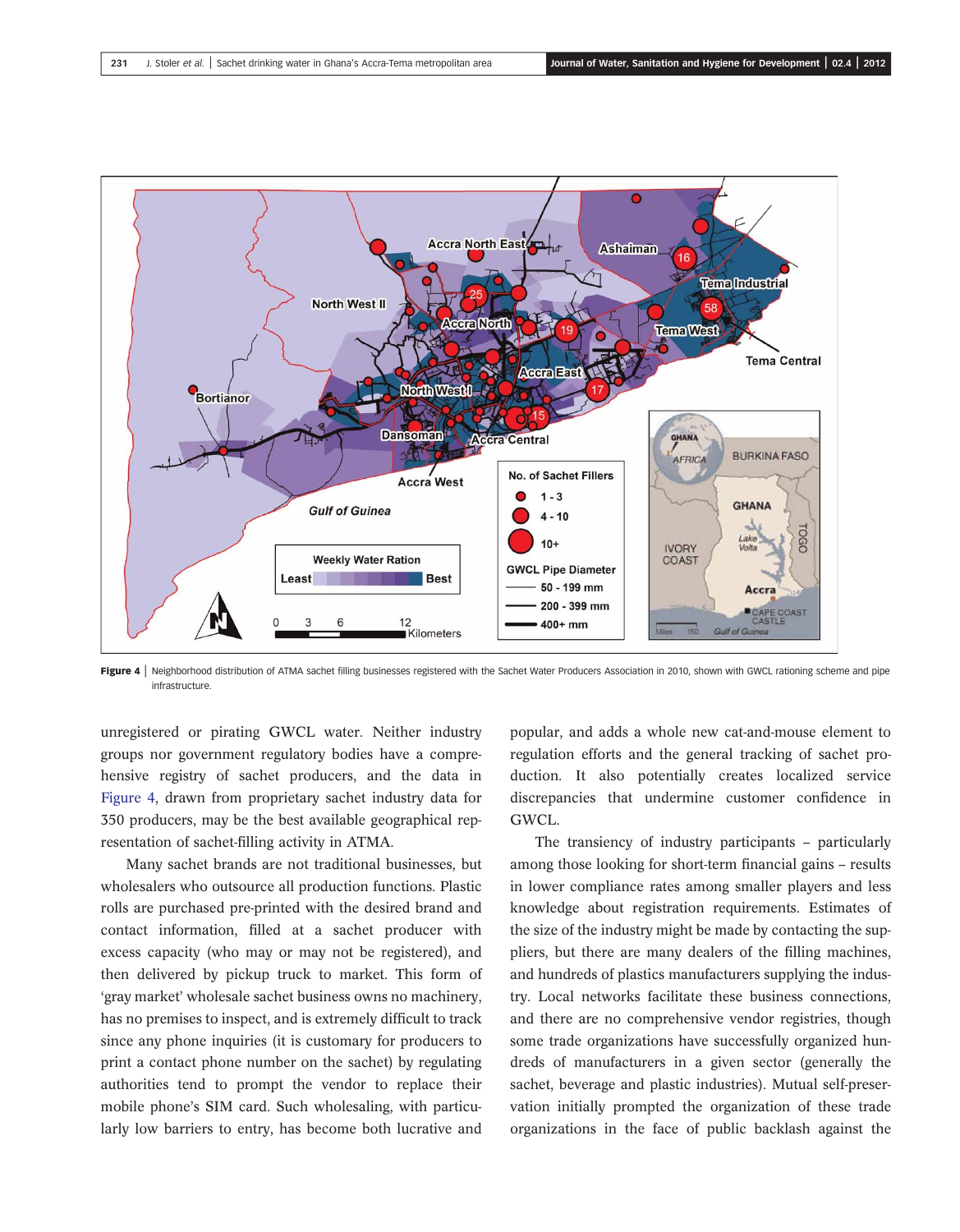

Figure 4 | Neighborhood distribution of ATMA sachet filling businesses registered with the Sachet Water Producers Association in 2010, shown with GWCL rationing scheme and pipe infrastructure.

unregistered or pirating GWCL water. Neither industry groups nor government regulatory bodies have a comprehensive registry of sachet producers, and the data in Figure 4, drawn from proprietary sachet industry data for 350 producers, may be the best available geographical representation of sachet-filling activity in ATMA.

Many sachet brands are not traditional businesses, but wholesalers who outsource all production functions. Plastic rolls are purchased pre-printed with the desired brand and contact information, filled at a sachet producer with excess capacity (who may or may not be registered), and then delivered by pickup truck to market. This form of 'gray market' wholesale sachet business owns no machinery, has no premises to inspect, and is extremely difficult to track since any phone inquiries (it is customary for producers to print a contact phone number on the sachet) by regulating authorities tend to prompt the vendor to replace their mobile phone's SIM card. Such wholesaling, with particularly low barriers to entry, has become both lucrative and

popular, and adds a whole new cat-and-mouse element to regulation efforts and the general tracking of sachet production. It also potentially creates localized service discrepancies that undermine customer confidence in GWCL.

The transiency of industry participants – particularly among those looking for short-term financial gains – results in lower compliance rates among smaller players and less knowledge about registration requirements. Estimates of the size of the industry might be made by contacting the suppliers, but there are many dealers of the filling machines, and hundreds of plastics manufacturers supplying the industry. Local networks facilitate these business connections, and there are no comprehensive vendor registries, though some trade organizations have successfully organized hundreds of manufacturers in a given sector (generally the sachet, beverage and plastic industries). Mutual self-preservation initially prompted the organization of these trade organizations in the face of public backlash against the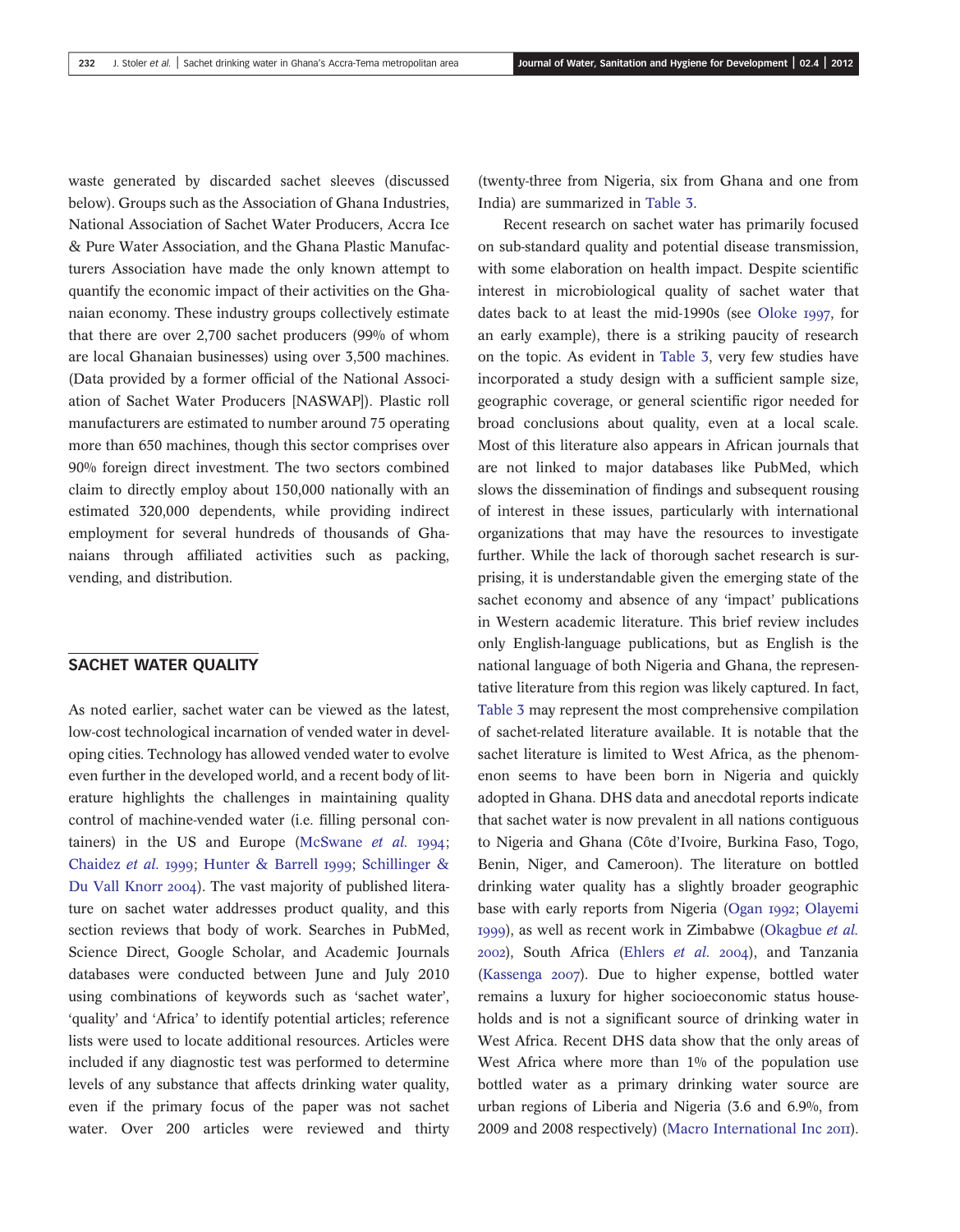waste generated by discarded sachet sleeves (discussed below). Groups such as the Association of Ghana Industries, National Association of Sachet Water Producers, Accra Ice & Pure Water Association, and the Ghana Plastic Manufacturers Association have made the only known attempt to quantify the economic impact of their activities on the Ghanaian economy. These industry groups collectively estimate that there are over 2,700 sachet producers (99% of whom are local Ghanaian businesses) using over 3,500 machines. (Data provided by a former official of the National Association of Sachet Water Producers [NASWAP]). Plastic roll manufacturers are estimated to number around 75 operating more than 650 machines, though this sector comprises over 90% foreign direct investment. The two sectors combined claim to directly employ about 150,000 nationally with an estimated 320,000 dependents, while providing indirect employment for several hundreds of thousands of Ghanaians through affiliated activities such as packing, vending, and distribution.

#### SACHET WATER QUALITY

As noted earlier, sachet water can be viewed as the latest, low-cost technological incarnation of vended water in developing cities. Technology has allowed vended water to evolve even further in the developed world, and a recent body of literature highlights the challenges in maintaining quality control of machine-vended water (i.e. filling personal containers) in the US and Europe (McSwane  $et$   $al.$  1994; Chaidez et al. 1999; Hunter & Barrell 1999; Schillinger & Du Vall Knorr 2004). The vast majority of published literature on sachet water addresses product quality, and this section reviews that body of work. Searches in PubMed, Science Direct, Google Scholar, and Academic Journals databases were conducted between June and July 2010 using combinations of keywords such as 'sachet water', 'quality' and 'Africa' to identify potential articles; reference lists were used to locate additional resources. Articles were included if any diagnostic test was performed to determine levels of any substance that affects drinking water quality, even if the primary focus of the paper was not sachet water. Over 200 articles were reviewed and thirty (twenty-three from Nigeria, six from Ghana and one from India) are summarized in Table 3.

Recent research on sachet water has primarily focused on sub-standard quality and potential disease transmission, with some elaboration on health impact. Despite scientific interest in microbiological quality of sachet water that dates back to at least the mid-1990s (see Oloke  $1997$ , for an early example), there is a striking paucity of research on the topic. As evident in Table 3, very few studies have incorporated a study design with a sufficient sample size, geographic coverage, or general scientific rigor needed for broad conclusions about quality, even at a local scale. Most of this literature also appears in African journals that are not linked to major databases like PubMed, which slows the dissemination of findings and subsequent rousing of interest in these issues, particularly with international organizations that may have the resources to investigate further. While the lack of thorough sachet research is surprising, it is understandable given the emerging state of the sachet economy and absence of any 'impact' publications in Western academic literature. This brief review includes only English-language publications, but as English is the national language of both Nigeria and Ghana, the representative literature from this region was likely captured. In fact, Table 3 may represent the most comprehensive compilation of sachet-related literature available. It is notable that the sachet literature is limited to West Africa, as the phenomenon seems to have been born in Nigeria and quickly adopted in Ghana. DHS data and anecdotal reports indicate that sachet water is now prevalent in all nations contiguous to Nigeria and Ghana (Côte d'Ivoire, Burkina Faso, Togo, Benin, Niger, and Cameroon). The literature on bottled drinking water quality has a slightly broader geographic base with early reports from Nigeria (Ogan 1992; Olayemi 1999), as well as recent work in Zimbabwe (Okagbue et al.  $2002$ ), South Africa (Ehlers et al.  $2004$ ), and Tanzania (Kassenga 2007). Due to higher expense, bottled water remains a luxury for higher socioeconomic status households and is not a significant source of drinking water in West Africa. Recent DHS data show that the only areas of West Africa where more than 1% of the population use bottled water as a primary drinking water source are urban regions of Liberia and Nigeria (3.6 and 6.9%, from 2009 and 2008 respectively) (Macro International Inc 2011).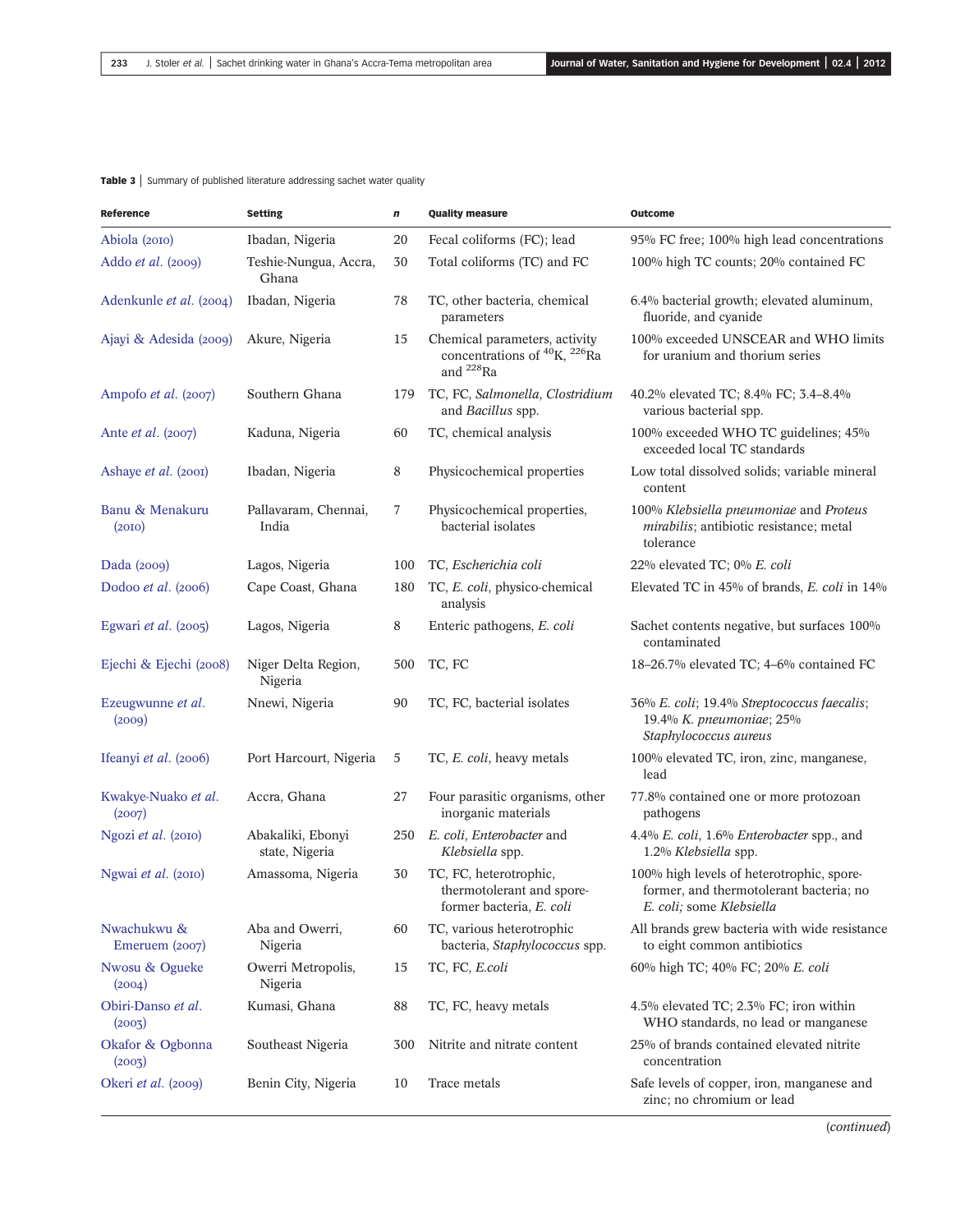#### Table 3 | Summary of published literature addressing sachet water quality

| <b>Reference</b>              | <b>Setting</b>                      | n   | <b>Quality measure</b>                                                                                         | Outcome                                                                                                          |
|-------------------------------|-------------------------------------|-----|----------------------------------------------------------------------------------------------------------------|------------------------------------------------------------------------------------------------------------------|
| Abiola (2010)                 | Ibadan, Nigeria                     | 20  | Fecal coliforms (FC); lead                                                                                     | 95% FC free; 100% high lead concentrations                                                                       |
| Addo et al. (2009)            | Teshie-Nungua, Accra,<br>Ghana      | 30  | Total coliforms (TC) and FC                                                                                    | 100% high TC counts; 20% contained FC                                                                            |
| Adenkunle et al. (2004)       | Ibadan, Nigeria                     | 78  | TC, other bacteria, chemical<br>parameters                                                                     | 6.4% bacterial growth; elevated aluminum,<br>fluoride, and cyanide                                               |
| Ajayi & Adesida (2009)        | Akure, Nigeria                      | 15  | Chemical parameters, activity<br>concentrations of <sup>40</sup> K, <sup>226</sup> Ra<br>and <sup>228</sup> Ra | 100% exceeded UNSCEAR and WHO limits<br>for uranium and thorium series                                           |
| Ampofo et al. (2007)          | Southern Ghana                      | 179 | TC, FC, Salmonella, Clostridium<br>and Bacillus spp.                                                           | 40.2% elevated TC; 8.4% FC; 3.4-8.4%<br>various bacterial spp.                                                   |
| Ante <i>et al.</i> (2007)     | Kaduna, Nigeria                     | 60  | TC, chemical analysis                                                                                          | 100% exceeded WHO TC guidelines; 45%<br>exceeded local TC standards                                              |
| Ashaye et al. (2001)          | Ibadan, Nigeria                     | 8   | Physicochemical properties                                                                                     | Low total dissolved solids; variable mineral<br>content                                                          |
| Banu & Menakuru<br>(20I)      | Pallavaram, Chennai,<br>India       | 7   | Physicochemical properties,<br>bacterial isolates                                                              | 100% Klebsiella pneumoniae and Proteus<br>mirabilis; antibiotic resistance; metal<br>tolerance                   |
| Dada $(2009)$                 | Lagos, Nigeria                      | 100 | TC, Escherichia coli                                                                                           | 22% elevated TC; 0% E. coli                                                                                      |
| Dodoo et al. (2006)           | Cape Coast, Ghana                   | 180 | TC, E. coli, physico-chemical<br>analysis                                                                      | Elevated TC in 45% of brands, E. coli in 14%                                                                     |
| Egwari et al. (2005)          | Lagos, Nigeria                      | 8   | Enteric pathogens, E. coli                                                                                     | Sachet contents negative, but surfaces 100%<br>contaminated                                                      |
| Ejechi & Ejechi (2008)        | Niger Delta Region,<br>Nigeria      | 500 | TC, FC                                                                                                         | 18-26.7% elevated TC; 4-6% contained FC                                                                          |
| Ezeugwunne et al.<br>(2009)   | Nnewi, Nigeria                      | 90  | TC, FC, bacterial isolates                                                                                     | 36% E. coli; 19.4% Streptococcus faecalis;<br>19.4% K. pneumoniae; 25%<br>Staphylococcus aureus                  |
| Ifeanyi et al. (2006)         | Port Harcourt, Nigeria              | 5   | TC, E. coli, heavy metals                                                                                      | 100% elevated TC, iron, zinc, manganese,<br>lead                                                                 |
| Kwakye-Nuako et al.<br>(2007) | Accra, Ghana                        | 27  | Four parasitic organisms, other<br>inorganic materials                                                         | 77.8% contained one or more protozoan<br>pathogens                                                               |
| Ngozi et al. (2010)           | Abakaliki, Ebonyi<br>state, Nigeria | 250 | E. coli, Enterobacter and<br>Klebsiella spp.                                                                   | 4.4% E. coli, 1.6% Enterobacter spp., and<br>1.2% Klebsiella spp.                                                |
| Ngwai et al. (2010)           | Amassoma, Nigeria                   | 30  | TC, FC, heterotrophic,<br>thermotolerant and spore-<br>former bacteria, E. coli                                | 100% high levels of heterotrophic, spore-<br>former, and thermotolerant bacteria; no<br>E. coli; some Klebsiella |
| Nwachukwu &<br>Emeruem (2007) | Aba and Owerri,<br>Nigeria          | 60  | TC, various heterotrophic<br>bacteria, Staphylococcus spp.                                                     | All brands grew bacteria with wide resistance<br>to eight common antibiotics                                     |
| Nwosu & Ogueke<br>(2004)      | Owerri Metropolis,<br>Nigeria       | 15  | TC, FC, E.coli                                                                                                 | 60% high TC; 40% FC; 20% E. coli                                                                                 |
| Obiri-Danso et al.<br>(2003)  | Kumasi, Ghana                       | 88  | TC, FC, heavy metals                                                                                           | 4.5% elevated TC; 2.3% FC; iron within<br>WHO standards, no lead or manganese                                    |
| Okafor & Ogbonna<br>(2003)    | Southeast Nigeria                   | 300 | Nitrite and nitrate content                                                                                    | 25% of brands contained elevated nitrite<br>concentration                                                        |
| Okeri et al. (2009)           | Benin City, Nigeria                 | 10  | Trace metals                                                                                                   | Safe levels of copper, iron, manganese and<br>zinc; no chromium or lead                                          |

(continued)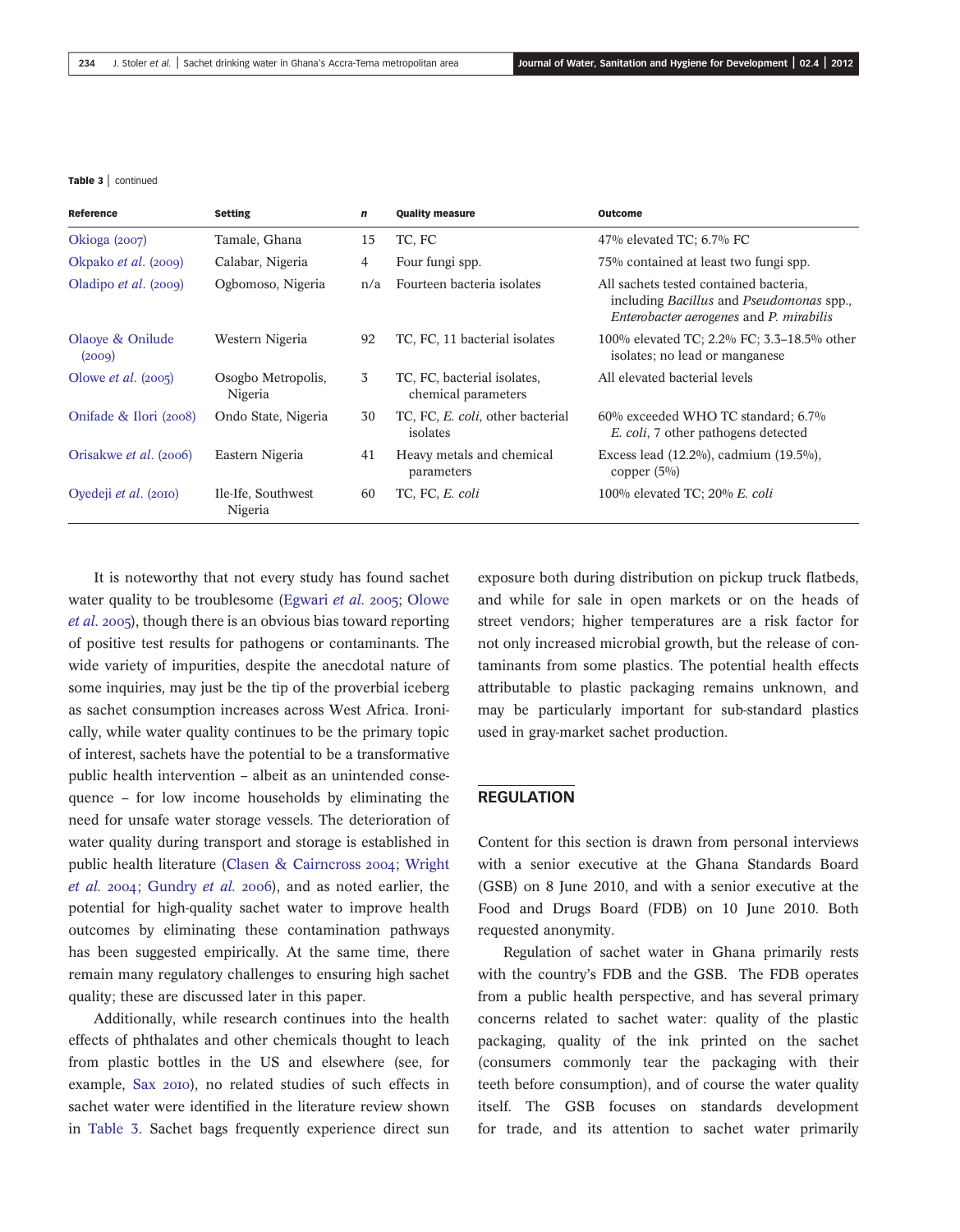Table 3 | continued

| Reference                    | <b>Setting</b>                | n   | <b>Quality measure</b>                             | <b>Outcome</b>                                                                                                                              |
|------------------------------|-------------------------------|-----|----------------------------------------------------|---------------------------------------------------------------------------------------------------------------------------------------------|
| Okioga $(2007)$              | Tamale, Ghana                 | 15  | TC, FC                                             | 47% elevated TC; $6.7\%$ FC                                                                                                                 |
| Okpako et al. (2009)         | Calabar, Nigeria              | 4   | Four fungi spp.                                    | 75% contained at least two fungi spp.                                                                                                       |
| Oladipo <i>et al.</i> (2009) | Ogbomoso, Nigeria             | n/a | Fourteen bacteria isolates                         | All sachets tested contained bacteria,<br>including <i>Bacillus</i> and <i>Pseudomonas</i> spp.,<br>Enterobacter aerogenes and P. mirabilis |
| Olaove & Onilude<br>(2009)   | Western Nigeria               | 92  | TC, FC, 11 bacterial isolates                      | 100% elevated TC; 2.2% FC; 3.3–18.5% other<br>isolates; no lead or manganese                                                                |
| Olowe <i>et al.</i> $(2005)$ | Osogbo Metropolis,<br>Nigeria | 3   | TC, FC, bacterial isolates,<br>chemical parameters | All elevated bacterial levels                                                                                                               |
| Onifade & Ilori (2008)       | Ondo State, Nigeria           | 30  | TC, FC, E. coli, other bacterial<br>isolates       | 60% exceeded WHO TC standard; 6.7%<br>E. coli, 7 other pathogens detected                                                                   |
| Orisakwe et al. (2006)       | Eastern Nigeria               | 41  | Heavy metals and chemical<br>parameters            | Excess lead (12.2%), cadmium (19.5%),<br>copper $(5\%)$                                                                                     |
| Oyedeji et al. (2010)        | Ile-Ife, Southwest<br>Nigeria | 60  | TC, FC, E. coli                                    | 100% elevated TC; 20% E. coli                                                                                                               |

It is noteworthy that not every study has found sachet water quality to be troublesome (Egwari et al. 2005; Olowe  $et al. 2005$ , though there is an obvious bias toward reporting of positive test results for pathogens or contaminants. The wide variety of impurities, despite the anecdotal nature of some inquiries, may just be the tip of the proverbial iceberg as sachet consumption increases across West Africa. Ironically, while water quality continues to be the primary topic of interest, sachets have the potential to be a transformative public health intervention – albeit as an unintended consequence – for low income households by eliminating the need for unsafe water storage vessels. The deterioration of water quality during transport and storage is established in public health literature (Clasen & Cairncross 2004; Wright et al.  $2004$ ; Gundry et al.  $2006$ ), and as noted earlier, the potential for high-quality sachet water to improve health outcomes by eliminating these contamination pathways has been suggested empirically. At the same time, there remain many regulatory challenges to ensuring high sachet quality; these are discussed later in this paper.

Additionally, while research continues into the health effects of phthalates and other chemicals thought to leach from plastic bottles in the US and elsewhere (see, for example, Sax 2010), no related studies of such effects in sachet water were identified in the literature review shown in Table 3. Sachet bags frequently experience direct sun exposure both during distribution on pickup truck flatbeds, and while for sale in open markets or on the heads of street vendors; higher temperatures are a risk factor for not only increased microbial growth, but the release of contaminants from some plastics. The potential health effects attributable to plastic packaging remains unknown, and may be particularly important for sub-standard plastics used in gray-market sachet production.

#### REGULATION

Content for this section is drawn from personal interviews with a senior executive at the Ghana Standards Board (GSB) on 8 June 2010, and with a senior executive at the Food and Drugs Board (FDB) on 10 June 2010. Both requested anonymity.

Regulation of sachet water in Ghana primarily rests with the country's FDB and the GSB. The FDB operates from a public health perspective, and has several primary concerns related to sachet water: quality of the plastic packaging, quality of the ink printed on the sachet (consumers commonly tear the packaging with their teeth before consumption), and of course the water quality itself. The GSB focuses on standards development for trade, and its attention to sachet water primarily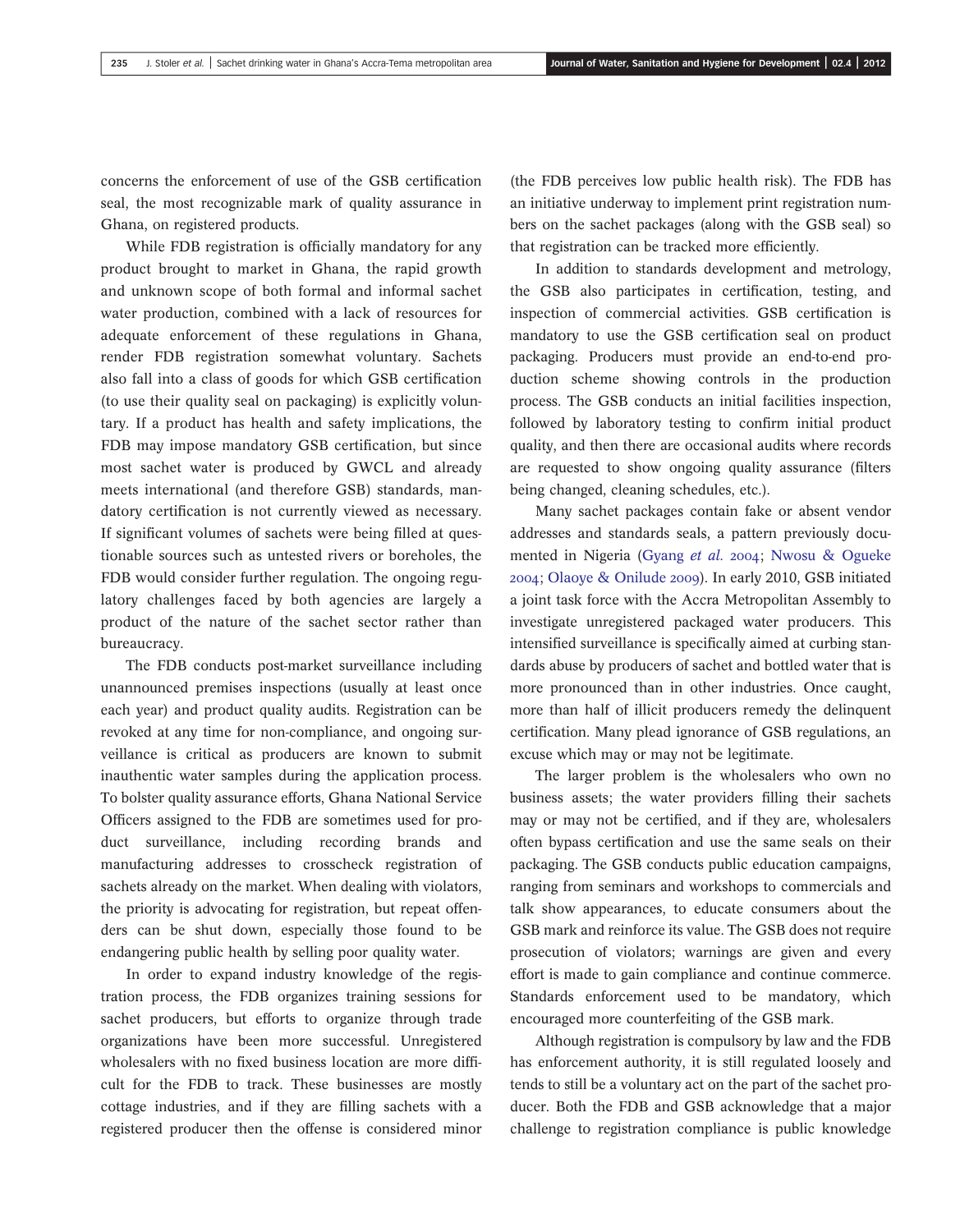concerns the enforcement of use of the GSB certification seal, the most recognizable mark of quality assurance in Ghana, on registered products.

While FDB registration is officially mandatory for any product brought to market in Ghana, the rapid growth and unknown scope of both formal and informal sachet water production, combined with a lack of resources for adequate enforcement of these regulations in Ghana, render FDB registration somewhat voluntary. Sachets also fall into a class of goods for which GSB certification (to use their quality seal on packaging) is explicitly voluntary. If a product has health and safety implications, the FDB may impose mandatory GSB certification, but since most sachet water is produced by GWCL and already meets international (and therefore GSB) standards, mandatory certification is not currently viewed as necessary. If significant volumes of sachets were being filled at questionable sources such as untested rivers or boreholes, the FDB would consider further regulation. The ongoing regulatory challenges faced by both agencies are largely a product of the nature of the sachet sector rather than bureaucracy.

The FDB conducts post-market surveillance including unannounced premises inspections (usually at least once each year) and product quality audits. Registration can be revoked at any time for non-compliance, and ongoing surveillance is critical as producers are known to submit inauthentic water samples during the application process. To bolster quality assurance efforts, Ghana National Service Officers assigned to the FDB are sometimes used for product surveillance, including recording brands and manufacturing addresses to crosscheck registration of sachets already on the market. When dealing with violators, the priority is advocating for registration, but repeat offenders can be shut down, especially those found to be endangering public health by selling poor quality water.

In order to expand industry knowledge of the registration process, the FDB organizes training sessions for sachet producers, but efforts to organize through trade organizations have been more successful. Unregistered wholesalers with no fixed business location are more difficult for the FDB to track. These businesses are mostly cottage industries, and if they are filling sachets with a registered producer then the offense is considered minor

(the FDB perceives low public health risk). The FDB has an initiative underway to implement print registration numbers on the sachet packages (along with the GSB seal) so that registration can be tracked more efficiently.

In addition to standards development and metrology, the GSB also participates in certification, testing, and inspection of commercial activities. GSB certification is mandatory to use the GSB certification seal on product packaging. Producers must provide an end-to-end production scheme showing controls in the production process. The GSB conducts an initial facilities inspection, followed by laboratory testing to confirm initial product quality, and then there are occasional audits where records are requested to show ongoing quality assurance (filters being changed, cleaning schedules, etc.).

Many sachet packages contain fake or absent vendor addresses and standards seals, a pattern previously documented in Nigeria (Gyang et al. 2004; Nwosu & Ogueke ; Olaoye & Onilude ). In early 2010, GSB initiated a joint task force with the Accra Metropolitan Assembly to investigate unregistered packaged water producers. This intensified surveillance is specifically aimed at curbing standards abuse by producers of sachet and bottled water that is more pronounced than in other industries. Once caught, more than half of illicit producers remedy the delinquent certification. Many plead ignorance of GSB regulations, an excuse which may or may not be legitimate.

The larger problem is the wholesalers who own no business assets; the water providers filling their sachets may or may not be certified, and if they are, wholesalers often bypass certification and use the same seals on their packaging. The GSB conducts public education campaigns, ranging from seminars and workshops to commercials and talk show appearances, to educate consumers about the GSB mark and reinforce its value. The GSB does not require prosecution of violators; warnings are given and every effort is made to gain compliance and continue commerce. Standards enforcement used to be mandatory, which encouraged more counterfeiting of the GSB mark.

Although registration is compulsory by law and the FDB has enforcement authority, it is still regulated loosely and tends to still be a voluntary act on the part of the sachet producer. Both the FDB and GSB acknowledge that a major challenge to registration compliance is public knowledge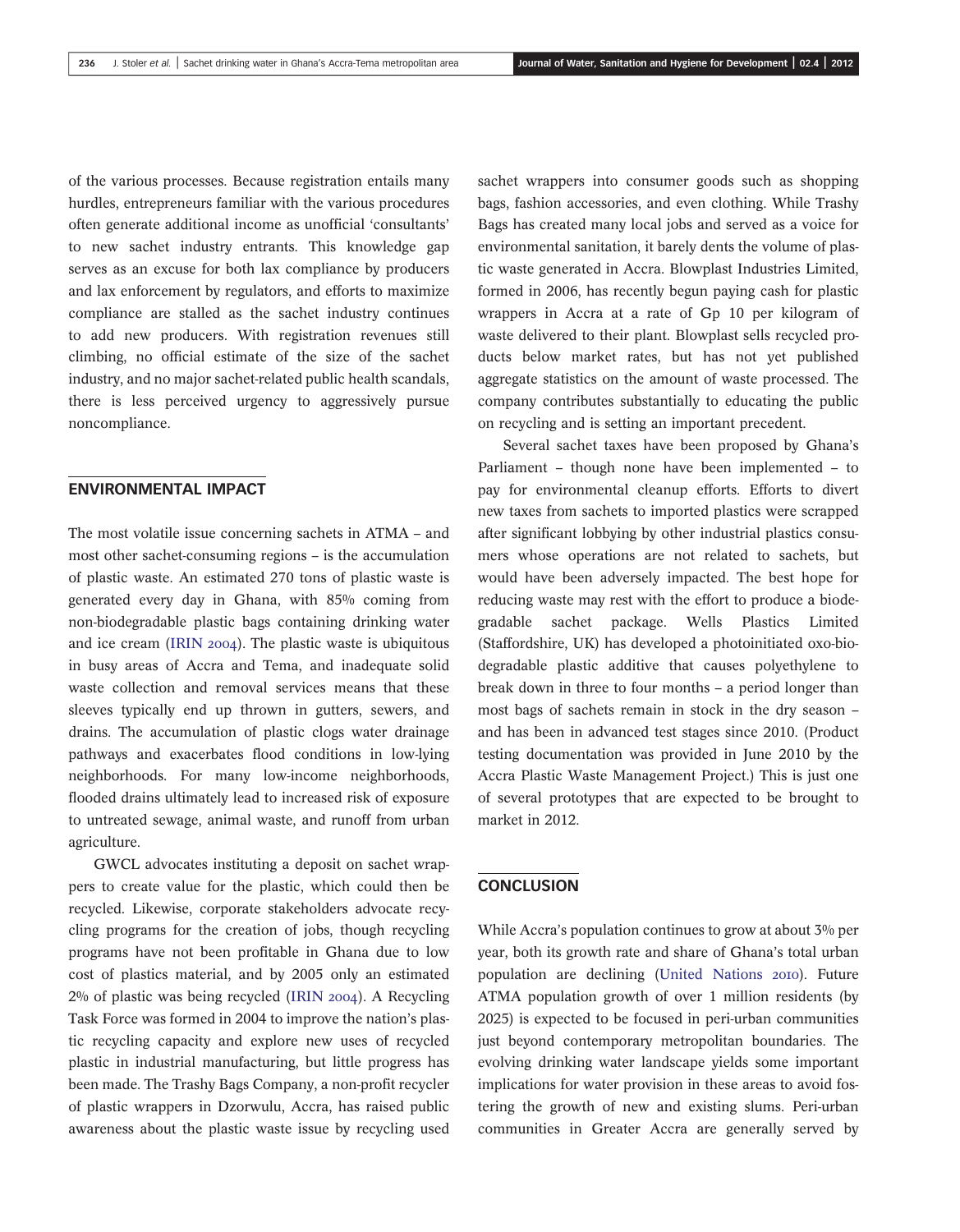of the various processes. Because registration entails many hurdles, entrepreneurs familiar with the various procedures often generate additional income as unofficial 'consultants' to new sachet industry entrants. This knowledge gap serves as an excuse for both lax compliance by producers and lax enforcement by regulators, and efforts to maximize compliance are stalled as the sachet industry continues to add new producers. With registration revenues still climbing, no official estimate of the size of the sachet industry, and no major sachet-related public health scandals, there is less perceived urgency to aggressively pursue noncompliance.

#### ENVIRONMENTAL IMPACT

The most volatile issue concerning sachets in ATMA – and most other sachet-consuming regions – is the accumulation of plastic waste. An estimated 270 tons of plastic waste is generated every day in Ghana, with 85% coming from non-biodegradable plastic bags containing drinking water and ice cream (IRIN  $2004$ ). The plastic waste is ubiquitous in busy areas of Accra and Tema, and inadequate solid waste collection and removal services means that these sleeves typically end up thrown in gutters, sewers, and drains. The accumulation of plastic clogs water drainage pathways and exacerbates flood conditions in low-lying neighborhoods. For many low-income neighborhoods, flooded drains ultimately lead to increased risk of exposure to untreated sewage, animal waste, and runoff from urban agriculture.

GWCL advocates instituting a deposit on sachet wrappers to create value for the plastic, which could then be recycled. Likewise, corporate stakeholders advocate recycling programs for the creation of jobs, though recycling programs have not been profitable in Ghana due to low cost of plastics material, and by 2005 only an estimated  $2\%$  of plastic was being recycled (IRIN 2004). A Recycling Task Force was formed in 2004 to improve the nation's plastic recycling capacity and explore new uses of recycled plastic in industrial manufacturing, but little progress has been made. The Trashy Bags Company, a non-profit recycler of plastic wrappers in Dzorwulu, Accra, has raised public awareness about the plastic waste issue by recycling used sachet wrappers into consumer goods such as shopping bags, fashion accessories, and even clothing. While Trashy Bags has created many local jobs and served as a voice for environmental sanitation, it barely dents the volume of plastic waste generated in Accra. Blowplast Industries Limited, formed in 2006, has recently begun paying cash for plastic wrappers in Accra at a rate of Gp 10 per kilogram of waste delivered to their plant. Blowplast sells recycled products below market rates, but has not yet published aggregate statistics on the amount of waste processed. The company contributes substantially to educating the public on recycling and is setting an important precedent.

Several sachet taxes have been proposed by Ghana's Parliament – though none have been implemented – to pay for environmental cleanup efforts. Efforts to divert new taxes from sachets to imported plastics were scrapped after significant lobbying by other industrial plastics consumers whose operations are not related to sachets, but would have been adversely impacted. The best hope for reducing waste may rest with the effort to produce a biodegradable sachet package. Wells Plastics Limited (Staffordshire, UK) has developed a photoinitiated oxo-biodegradable plastic additive that causes polyethylene to break down in three to four months – a period longer than most bags of sachets remain in stock in the dry season – and has been in advanced test stages since 2010. (Product testing documentation was provided in June 2010 by the Accra Plastic Waste Management Project.) This is just one of several prototypes that are expected to be brought to market in 2012.

## **CONCLUSION**

While Accra's population continues to grow at about 3% per year, both its growth rate and share of Ghana's total urban population are declining (United Nations 2010). Future ATMA population growth of over 1 million residents (by 2025) is expected to be focused in peri-urban communities just beyond contemporary metropolitan boundaries. The evolving drinking water landscape yields some important implications for water provision in these areas to avoid fostering the growth of new and existing slums. Peri-urban communities in Greater Accra are generally served by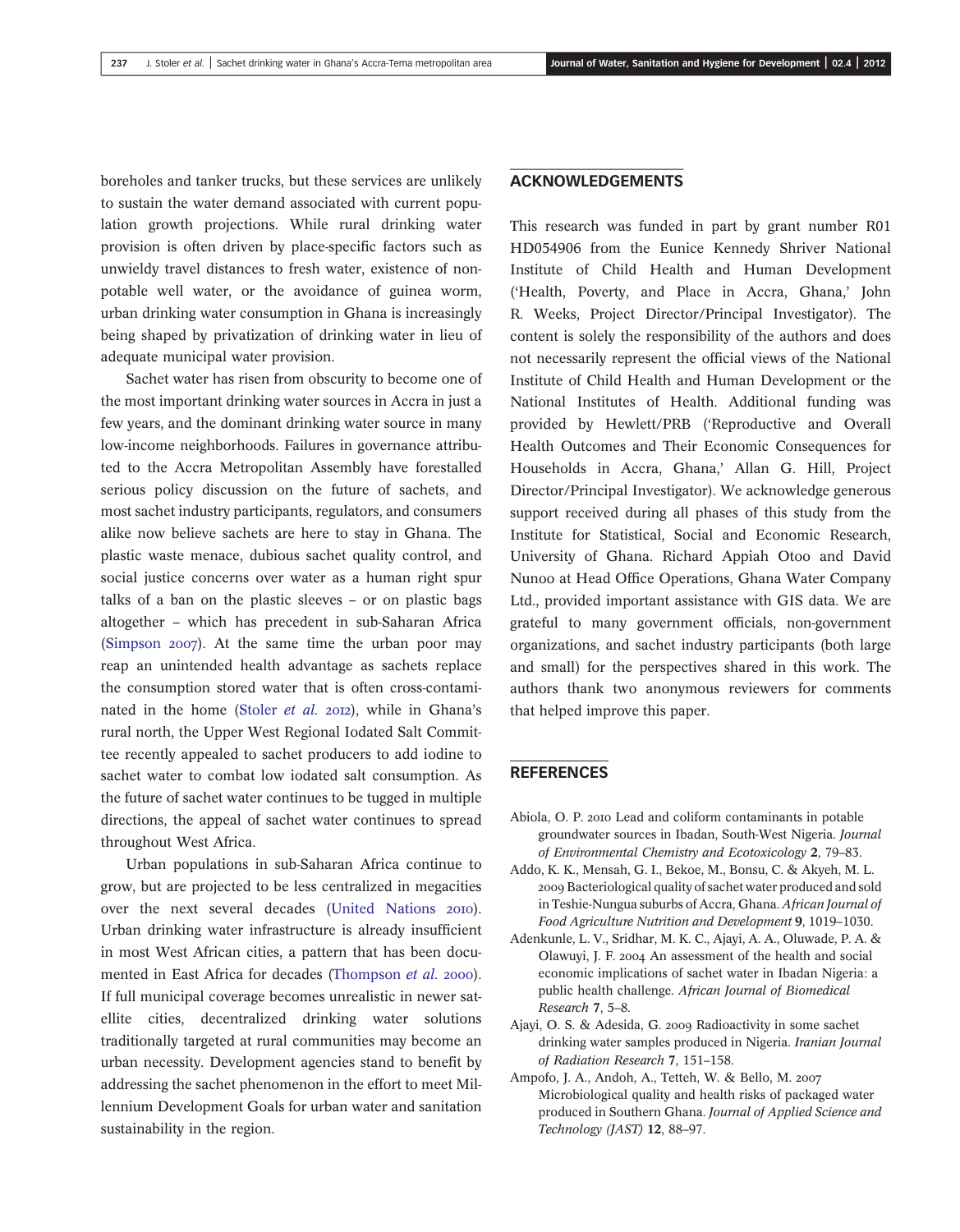boreholes and tanker trucks, but these services are unlikely to sustain the water demand associated with current population growth projections. While rural drinking water provision is often driven by place-specific factors such as unwieldy travel distances to fresh water, existence of nonpotable well water, or the avoidance of guinea worm, urban drinking water consumption in Ghana is increasingly being shaped by privatization of drinking water in lieu of adequate municipal water provision.

Sachet water has risen from obscurity to become one of the most important drinking water sources in Accra in just a few years, and the dominant drinking water source in many low-income neighborhoods. Failures in governance attributed to the Accra Metropolitan Assembly have forestalled serious policy discussion on the future of sachets, and most sachet industry participants, regulators, and consumers alike now believe sachets are here to stay in Ghana. The plastic waste menace, dubious sachet quality control, and social justice concerns over water as a human right spur talks of a ban on the plastic sleeves – or on plastic bags altogether – which has precedent in sub-Saharan Africa (Simpson  $2007$ ). At the same time the urban poor may reap an unintended health advantage as sachets replace the consumption stored water that is often cross-contaminated in the home (Stoler et al. 2012), while in Ghana's rural north, the Upper West Regional Iodated Salt Committee recently appealed to sachet producers to add iodine to sachet water to combat low iodated salt consumption. As the future of sachet water continues to be tugged in multiple directions, the appeal of sachet water continues to spread throughout West Africa.

Urban populations in sub-Saharan Africa continue to grow, but are projected to be less centralized in megacities over the next several decades (United Nations 2010). Urban drinking water infrastructure is already insufficient in most West African cities, a pattern that has been documented in East Africa for decades (Thompson et al. 2000). If full municipal coverage becomes unrealistic in newer satellite cities, decentralized drinking water solutions traditionally targeted at rural communities may become an urban necessity. Development agencies stand to benefit by addressing the sachet phenomenon in the effort to meet Millennium Development Goals for urban water and sanitation sustainability in the region.

#### ACKNOWLEDGEMENTS

This research was funded in part by grant number R01 HD054906 from the Eunice Kennedy Shriver National Institute of Child Health and Human Development ('Health, Poverty, and Place in Accra, Ghana,' John R. Weeks, Project Director/Principal Investigator). The content is solely the responsibility of the authors and does not necessarily represent the official views of the National Institute of Child Health and Human Development or the National Institutes of Health. Additional funding was provided by Hewlett/PRB ('Reproductive and Overall Health Outcomes and Their Economic Consequences for Households in Accra, Ghana,' Allan G. Hill, Project Director/Principal Investigator). We acknowledge generous support received during all phases of this study from the Institute for Statistical, Social and Economic Research, University of Ghana. Richard Appiah Otoo and David Nunoo at Head Office Operations, Ghana Water Company Ltd., provided important assistance with GIS data. We are grateful to many government officials, non-government organizations, and sachet industry participants (both large and small) for the perspectives shared in this work. The authors thank two anonymous reviewers for comments that helped improve this paper.

## **REFERENCES**

- Abiola, O. P. 2010 Lead and coliform contaminants in potable groundwater sources in Ibadan, South-West Nigeria. Journal of Environmental Chemistry and Ecotoxicology 2, 79–83.
- Addo, K. K., Mensah, G. I., Bekoe, M., Bonsu, C. & Akyeh, M. L. Bacteriological quality of sachet water produced and sold in Teshie-Nungua suburbs of Accra, Ghana. African Journal of Food Agriculture Nutrition and Development 9, 1019–1030.
- Adenkunle, L. V., Sridhar, M. K. C., Ajayi, A. A., Oluwade, P. A. & Olawuyi, J. F. 2004 An assessment of the health and social economic implications of sachet water in Ibadan Nigeria: a public health challenge. African Journal of Biomedical Research 7, 5–8.
- Ajayi, O. S. & Adesida, G. 2009 Radioactivity in some sachet drinking water samples produced in Nigeria. Iranian Journal of Radiation Research 7, 151–158.
- Ampofo, J. A., Andoh, A., Tetteh, W. & Bello, M. Microbiological quality and health risks of packaged water produced in Southern Ghana. Journal of Applied Science and Technology (JAST) 12, 88–97.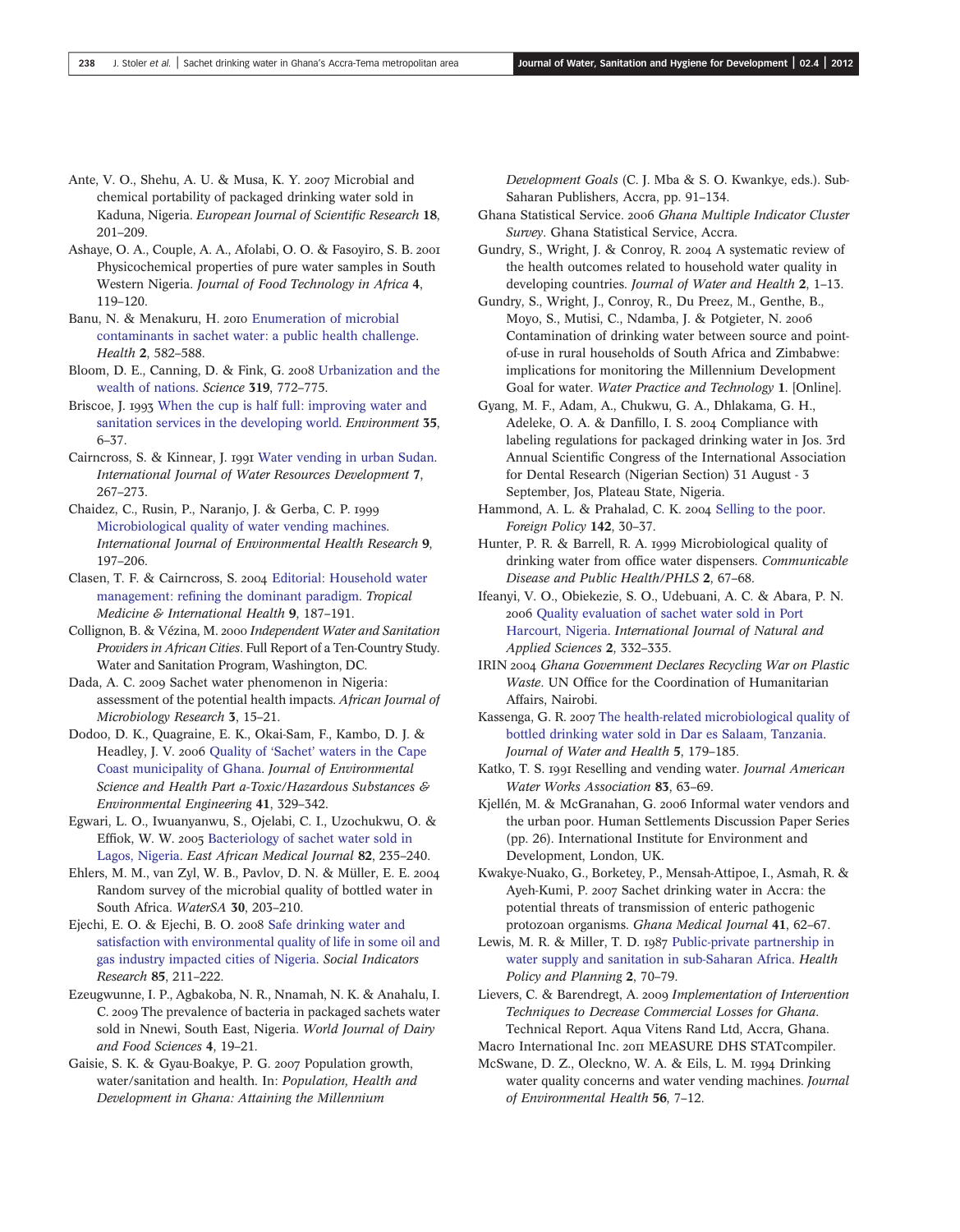- Ante, V. O., Shehu, A. U. & Musa, K. Y. 2007 Microbial and chemical portability of packaged drinking water sold in Kaduna, Nigeria. European Journal of Scientific Research 18, 201–209.
- Ashaye, O. A., Couple, A. A., Afolabi, O. O. & Fasoyiro, S. B. Physicochemical properties of pure water samples in South Western Nigeria. Journal of Food Technology in Africa 4, 119–120.
- Banu, N. & Menakuru, H. 2010 [Enumeration of microbial](http://dx.doi.org/10.4236/health.2010.26086) [contaminants in sachet water: a public health challenge](http://dx.doi.org/10.4236/health.2010.26086). Health 2, 582–588.
- Bloom, D. E., Canning, D. & Fink, G. 2008 [Urbanization and the](http://dx.doi.org/10.1126/science.1153057) [wealth of nations](http://dx.doi.org/10.1126/science.1153057). Science 319, 772–775.
- Briscoe, J. 1993 [When the cup is half full: improving water and](http://dx.doi.org/10.1080/00139157.1993.9929091) [sanitation services in the developing world](http://dx.doi.org/10.1080/00139157.1993.9929091). *Environment* 35, 6–37.
- Cairncross, S. & Kinnear, J. [Water vending in urban Sudan.](http://dx.doi.org/10.1080/07900629108722522) International Journal of Water Resources Development 7, 267–273.
- Chaidez, C., Rusin, P., Naranjo, J. & Gerba, C. P. [Microbiological quality of water vending machines](http://dx.doi.org/10.1080/09603129973164). International Journal of Environmental Health Research 9, 197–206.
- Clasen, T. F. & Cairncross, S. 2004 [Editorial: Household water](http://dx.doi.org/10.1046/j.1365-3156.2003.01191.x) management: refi[ning the dominant paradigm](http://dx.doi.org/10.1046/j.1365-3156.2003.01191.x). Tropical Medicine & International Health 9, 187–191.
- Collignon, B. & Vézina, M. 2000 Independent Water and Sanitation Providers in African Cities. Full Report of a Ten-Country Study. Water and Sanitation Program, Washington, DC.
- Dada, A. C. 2009 Sachet water phenomenon in Nigeria: assessment of the potential health impacts. African Journal of Microbiology Research 3, 15–21.
- Dodoo, D. K., Quagraine, E. K., Okai-Sam, F., Kambo, D. J. & Headley, J. V. 2006 Quality of 'Sachet' [waters in the Cape](http://dx.doi.org/10.1080/10934520500423238) [Coast municipality of Ghana.](http://dx.doi.org/10.1080/10934520500423238) Journal of Environmental Science and Health Part a-Toxic/Hazardous Substances & Environmental Engineering 41, 329–342.
- Egwari, L. O., Iwuanyanwu, S., Ojelabi, C. I., Uzochukwu, O. & Effiok, W. W. 2005 [Bacteriology of sachet water sold in](http://dx.doi.org/10.4314/eamj.v82i5.9312) [Lagos, Nigeria](http://dx.doi.org/10.4314/eamj.v82i5.9312). East African Medical Journal 82, 235–240.
- Ehlers, M. M., van Zyl, W. B., Pavlov, D. N. & Müller, E. E. 2004 Random survey of the microbial quality of bottled water in South Africa. WaterSA 30, 203–210.
- Ejechi, E. O. & Ejechi, B. O. 2008 [Safe drinking water and](http://dx.doi.org/10.1007/s11205-007-9086-6) [satisfaction with environmental quality of life in some oil and](http://dx.doi.org/10.1007/s11205-007-9086-6) [gas industry impacted cities of Nigeria.](http://dx.doi.org/10.1007/s11205-007-9086-6) Social Indicators Research 85, 211–222.
- Ezeugwunne, I. P., Agbakoba, N. R., Nnamah, N. K. & Anahalu, I. C. 2009 The prevalence of bacteria in packaged sachets water sold in Nnewi, South East, Nigeria. World Journal of Dairy and Food Sciences 4, 19–21.
- Gaisie, S. K. & Gyau-Boakye, P. G. 2007 Population growth, water/sanitation and health. In: Population, Health and Development in Ghana: Attaining the Millennium

Development Goals (C. J. Mba & S. O. Kwankye, eds.). Sub-Saharan Publishers, Accra, pp. 91–134.

- Ghana Statistical Service. 2006 Ghana Multiple Indicator Cluster Survey. Ghana Statistical Service, Accra.
- Gundry, S., Wright, J. & Conroy, R. 2004 A systematic review of the health outcomes related to household water quality in developing countries. Journal of Water and Health 2, 1–13.
- Gundry, S., Wright, J., Conroy, R., Du Preez, M., Genthe, B., Moyo, S., Mutisi, C., Ndamba, J. & Potgieter, N. Contamination of drinking water between source and pointof-use in rural households of South Africa and Zimbabwe: implications for monitoring the Millennium Development Goal for water. Water Practice and Technology 1. [Online].
- Gyang, M. F., Adam, A., Chukwu, G. A., Dhlakama, G. H., Adeleke, O. A. & Danfillo, I. S. 2004 Compliance with labeling regulations for packaged drinking water in Jos. 3rd Annual Scientific Congress of the International Association for Dental Research (Nigerian Section) 31 August - 3 September, Jos, Plateau State, Nigeria.
- Hammond, A. L. & Prahalad, C. K. 2004 [Selling to the poor](http://dx.doi.org/10.2307/4147574). Foreign Policy 142, 30–37.
- Hunter, P. R. & Barrell, R. A. 1999 Microbiological quality of drinking water from office water dispensers. Communicable Disease and Public Health/PHLS 2, 67–68.
- Ifeanyi, V. O., Obiekezie, S. O., Udebuani, A. C. & Abara, P. N. 2006 [Quality evaluation of sachet water sold in Port](http://dx.doi.org/10.4314/ijonas.v2i4.36114) [Harcourt, Nigeria.](http://dx.doi.org/10.4314/ijonas.v2i4.36114) International Journal of Natural and Applied Sciences 2, 332–335.
- IRIN 2004 Ghana Government Declares Recycling War on Plastic Waste. UN Office for the Coordination of Humanitarian Affairs, Nairobi.
- Kassenga, G. R. 2007 [The health-related microbiological quality of](http://dx.doi.org/10.2166/wh.2006.052) [bottled drinking water sold in Dar es Salaam, Tanzania.](http://dx.doi.org/10.2166/wh.2006.052) Journal of Water and Health 5, 179–185.
- Katko, T. S. 1991 Reselling and vending water. Journal American Water Works Association 83, 63–69.
- Kjellén, M. & McGranahan, G. 2006 Informal water vendors and the urban poor. Human Settlements Discussion Paper Series (pp. 26). International Institute for Environment and Development, London, UK.
- Kwakye-Nuako, G., Borketey, P., Mensah-Attipoe, I., Asmah, R. & Ayeh-Kumi, P. 2007 Sachet drinking water in Accra: the potential threats of transmission of enteric pathogenic protozoan organisms. Ghana Medical Journal 41, 62–67.
- Lewis, M. R. & Miller, T. D. 1987 [Public-private partnership in](http://dx.doi.org/10.1093/heapol/2.1.70) [water supply and sanitation in sub-Saharan Africa.](http://dx.doi.org/10.1093/heapol/2.1.70) Health Policy and Planning 2, 70–79.
- Lievers, C. & Barendregt, A. 2009 Implementation of Intervention Techniques to Decrease Commercial Losses for Ghana. Technical Report. Aqua Vitens Rand Ltd, Accra, Ghana. Macro International Inc. 2011 MEASURE DHS STATcompiler.
- McSwane, D. Z., Oleckno, W. A. & Eils, L. M. 1994 Drinking
	- water quality concerns and water vending machines. Journal of Environmental Health 56, 7–12.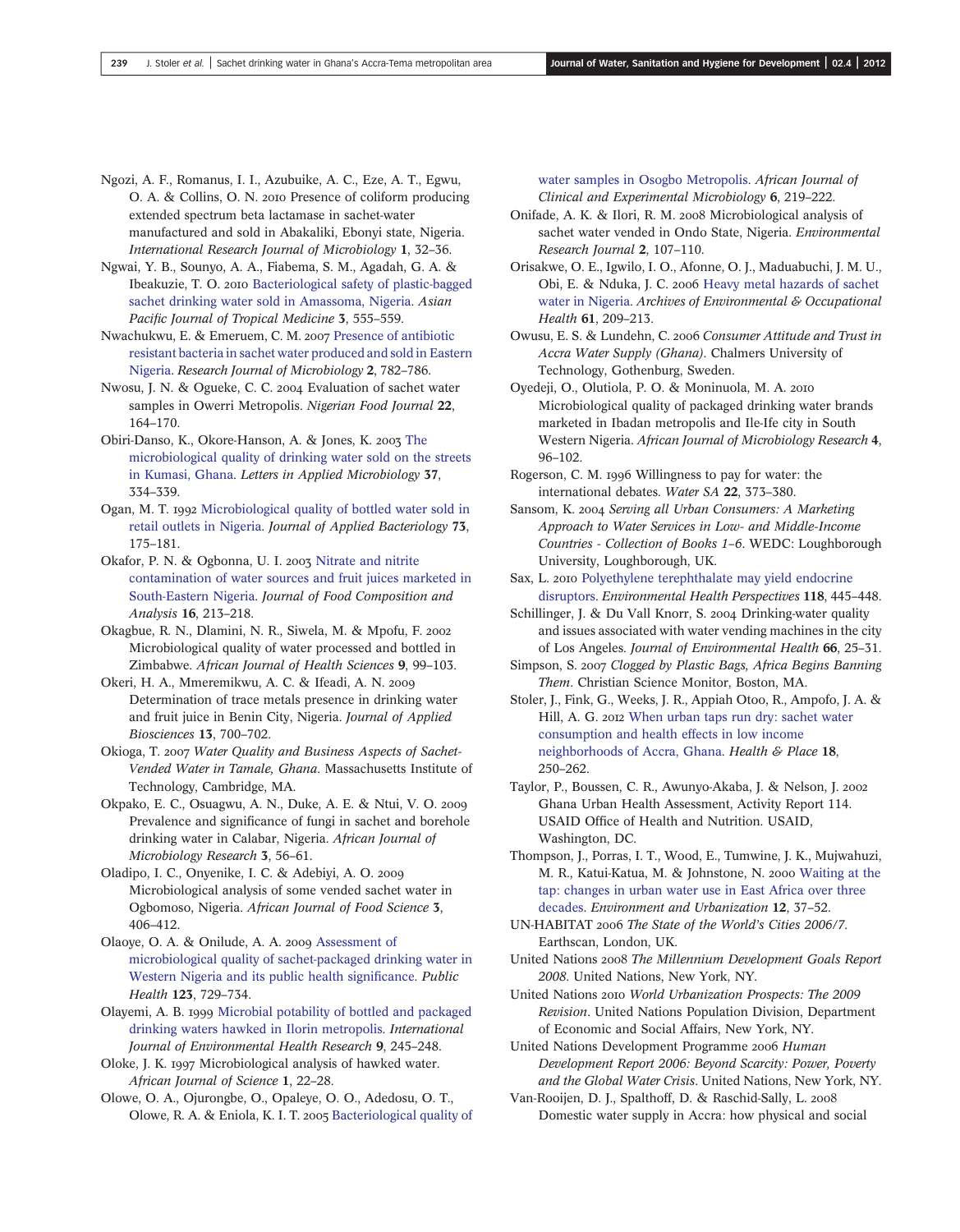- Ngozi, A. F., Romanus, I. I., Azubuike, A. C., Eze, A. T., Egwu, O. A. & Collins, O. N. 2010 Presence of coliform producing extended spectrum beta lactamase in sachet-water manufactured and sold in Abakaliki, Ebonyi state, Nigeria. International Research Journal of Microbiology 1, 32–36.
- Ngwai, Y. B., Sounyo, A. A., Fiabema, S. M., Agadah, G. A. & Ibeakuzie, T. O. 2010 [Bacteriological safety of plastic-bagged](http://dx.doi.org/10.1016/S1995-7645(10)60134-4) [sachet drinking water sold in Amassoma, Nigeria](http://dx.doi.org/10.1016/S1995-7645(10)60134-4). Asian Pacific Journal of Tropical Medicine 3, 555–559.
- Nwachukwu, E. & Emeruem, C. M. 2007 [Presence of antibiotic](http://dx.doi.org/10.3923/jm.2007.782.786) [resistant bacteria in sachet water produced and sold in Eastern](http://dx.doi.org/10.3923/jm.2007.782.786) [Nigeria.](http://dx.doi.org/10.3923/jm.2007.782.786) Research Journal of Microbiology 2, 782–786.
- Nwosu, J. N. & Ogueke, C. C. Evaluation of sachet water samples in Owerri Metropolis. Nigerian Food Journal 22, 164–170.
- Obiri-Danso, K., Okore-Hanson, A. & Jones, K. 2003 [The](http://dx.doi.org/10.1046/j.1472-765X.2003.01403.x) [microbiological quality of drinking water sold on the streets](http://dx.doi.org/10.1046/j.1472-765X.2003.01403.x) [in Kumasi, Ghana](http://dx.doi.org/10.1046/j.1472-765X.2003.01403.x). Letters in Applied Microbiology 37, 334–339.
- Ogan, M. T. 1992 [Microbiological quality of bottled water sold in](http://dx.doi.org/10.1111/j.1365-2672.1992.tb01706.x) [retail outlets in Nigeria](http://dx.doi.org/10.1111/j.1365-2672.1992.tb01706.x). Journal of Applied Bacteriology 73, 175–181.
- Okafor, P. N. & Ogbonna, U. I. 2003 [Nitrate and nitrite](http://dx.doi.org/10.1016/S0889-1575(02)00167-9) [contamination of water sources and fruit juices marketed in](http://dx.doi.org/10.1016/S0889-1575(02)00167-9) [South-Eastern Nigeria.](http://dx.doi.org/10.1016/S0889-1575(02)00167-9) Journal of Food Composition and Analysis 16, 213–218.
- Okagbue, R. N., Dlamini, N. R., Siwela, M. & Mpofu, F. Microbiological quality of water processed and bottled in Zimbabwe. African Journal of Health Sciences 9, 99–103.
- Okeri, H. A., Mmeremikwu, A. C. & Ifeadi, A. N. Determination of trace metals presence in drinking water and fruit juice in Benin City, Nigeria. Journal of Applied Biosciences 13, 700–702.
- Okioga, T. 2007 Water Quality and Business Aspects of Sachet-Vended Water in Tamale, Ghana. Massachusetts Institute of Technology, Cambridge, MA.
- Okpako, E. C., Osuagwu, A. N., Duke, A. E. & Ntui, V. O. Prevalence and significance of fungi in sachet and borehole drinking water in Calabar, Nigeria. African Journal of Microbiology Research 3, 56–61.
- Oladipo, I. C., Onyenike, I. C. & Adebiyi, A. O. Microbiological analysis of some vended sachet water in Ogbomoso, Nigeria. African Journal of Food Science 3, 406–412.
- Olaoye, O. A. & Onilude, A. A. 2009 [Assessment of](http://dx.doi.org/10.1016/j.puhe.2009.09.015) [microbiological quality of sachet-packaged drinking water in](http://dx.doi.org/10.1016/j.puhe.2009.09.015) [Western Nigeria and its public health signi](http://dx.doi.org/10.1016/j.puhe.2009.09.015)ficance. Public Health 123, 729–734.
- Olayemi, A. B. 1999 [Microbial potability of bottled and packaged](http://dx.doi.org/10.1080/09603129973218) [drinking waters hawked in Ilorin metropolis.](http://dx.doi.org/10.1080/09603129973218) International Journal of Environmental Health Research 9, 245–248.
- Oloke, J. K. 1997 Microbiological analysis of hawked water. African Journal of Science 1, 22–28.
- Olowe, O. A., Ojurongbe, O., Opaleye, O. O., Adedosu, O. T., Olowe, R. A. & Eniola, K. I. T. 2005 [Bacteriological quality of](http://dx.doi.org/10.4314/ajcem.v6i3.7426)

[water samples in Osogbo Metropolis](http://dx.doi.org/10.4314/ajcem.v6i3.7426). African Journal of Clinical and Experimental Microbiology 6, 219–222.

- Onifade, A. K. & Ilori, R. M. 2008 Microbiological analysis of sachet water vended in Ondo State, Nigeria. Environmental Research Journal 2, 107–110.
- Orisakwe, O. E., Igwilo, I. O., Afonne, O. J., Maduabuchi, J. M. U., Obi, E. & Nduka, J. C. 2006 [Heavy metal hazards of sachet](http://dx.doi.org/10.3200/AEOH.61.5.209-213) [water in Nigeria](http://dx.doi.org/10.3200/AEOH.61.5.209-213). Archives of Environmental & Occupational Health 61, 209–213.
- Owusu, E. S. & Lundehn, C. 2006 Consumer Attitude and Trust in Accra Water Supply (Ghana). Chalmers University of Technology, Gothenburg, Sweden.
- Oyedeji, O., Olutiola, P. O. & Moninuola, M. A. Microbiological quality of packaged drinking water brands marketed in Ibadan metropolis and Ile-Ife city in South Western Nigeria. African Journal of Microbiology Research 4, 96–102.
- Rogerson, C. M. 1996 Willingness to pay for water: the international debates. Water SA 22, 373–380.
- Sansom, K. 2004 Serving all Urban Consumers: A Marketing Approach to Water Services in Low- and Middle-Income Countries - Collection of Books 1–6. WEDC: Loughborough University, Loughborough, UK.
- Sax, L. 2010 [Polyethylene terephthalate may yield endocrine](http://dx.doi.org/10.1289/ehp.0901253) [disruptors](http://dx.doi.org/10.1289/ehp.0901253). Environmental Health Perspectives 118, 445–448.
- Schillinger, J. & Du Vall Knorr, S. 2004 Drinking-water quality and issues associated with water vending machines in the city of Los Angeles. Journal of Environmental Health 66, 25–31.
- Simpson, S. 2007 Clogged by Plastic Bags, Africa Begins Banning Them. Christian Science Monitor, Boston, MA.
- Stoler, J., Fink, G., Weeks, J. R., Appiah Otoo, R., Ampofo, J. A. & Hill, A. G. 2012 [When urban taps run dry: sachet water](http://dx.doi.org/10.1016/j.healthplace.2011.09.020) [consumption and health effects in low income](http://dx.doi.org/10.1016/j.healthplace.2011.09.020) [neighborhoods of Accra, Ghana](http://dx.doi.org/10.1016/j.healthplace.2011.09.020). Health & Place 18, 250–262.
- Taylor, P., Boussen, C. R., Awunyo-Akaba, J. & Nelson, J. Ghana Urban Health Assessment, Activity Report 114. USAID Office of Health and Nutrition. USAID, Washington, DC.
- Thompson, J., Porras, I. T., Wood, E., Tumwine, J. K., Mujwahuzi, M. R., Katui-Katua, M. & Johnstone, N. 2000 [Waiting at the](http://dx.doi.org/10.1177/095624780001200204) [tap: changes in urban water use in East Africa over three](http://dx.doi.org/10.1177/095624780001200204) [decades.](http://dx.doi.org/10.1177/095624780001200204) Environment and Urbanization 12, 37–52.
- UN-HABITAT 2006 The State of the World's Cities 2006/7. Earthscan, London, UK.
- United Nations 2008 The Millennium Development Goals Report 2008. United Nations, New York, NY.
- United Nations World Urbanization Prospects: The 2009 Revision. United Nations Population Division, Department of Economic and Social Affairs, New York, NY.
- United Nations Development Programme 2006 Human Development Report 2006: Beyond Scarcity: Power, Poverty and the Global Water Crisis. United Nations, New York, NY.
- Van-Rooijen, D. J., Spalthoff, D. & Raschid-Sally, L. Domestic water supply in Accra: how physical and social